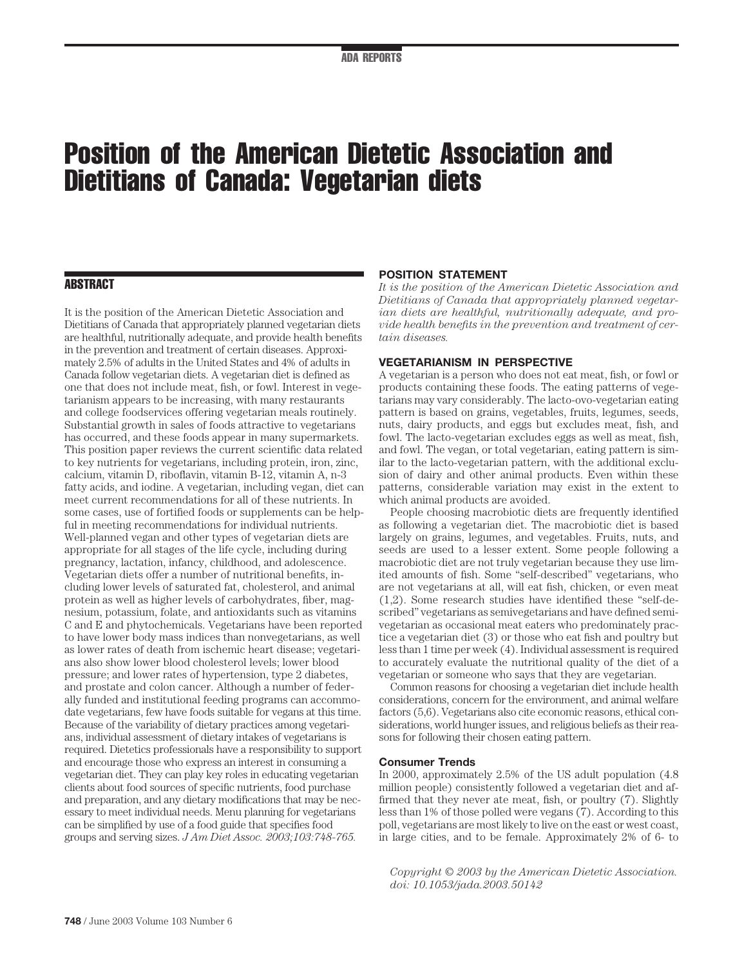# Position of the American Dietetic Association and Dietitians of Canada: Vegetarian diets

# **ABSTRACT**

It is the position of the American Dietetic Association and Dietitians of Canada that appropriately planned vegetarian diets are healthful, nutritionally adequate, and provide health benefits in the prevention and treatment of certain diseases. Approximately 2.5% of adults in the United States and 4% of adults in Canada follow vegetarian diets. A vegetarian diet is defined as one that does not include meat, fish, or fowl. Interest in vegetarianism appears to be increasing, with many restaurants and college foodservices offering vegetarian meals routinely. Substantial growth in sales of foods attractive to vegetarians has occurred, and these foods appear in many supermarkets. This position paper reviews the current scientific data related to key nutrients for vegetarians, including protein, iron, zinc, calcium, vitamin D, riboflavin, vitamin B-12, vitamin A, n-3 fatty acids, and iodine. A vegetarian, including vegan, diet can meet current recommendations for all of these nutrients. In some cases, use of fortified foods or supplements can be helpful in meeting recommendations for individual nutrients. Well-planned vegan and other types of vegetarian diets are appropriate for all stages of the life cycle, including during pregnancy, lactation, infancy, childhood, and adolescence. Vegetarian diets offer a number of nutritional benefits, including lower levels of saturated fat, cholesterol, and animal protein as well as higher levels of carbohydrates, fiber, magnesium, potassium, folate, and antioxidants such as vitamins C and E and phytochemicals. Vegetarians have been reported to have lower body mass indices than nonvegetarians, as well as lower rates of death from ischemic heart disease; vegetarians also show lower blood cholesterol levels; lower blood pressure; and lower rates of hypertension, type 2 diabetes, and prostate and colon cancer. Although a number of federally funded and institutional feeding programs can accommodate vegetarians, few have foods suitable for vegans at this time. Because of the variability of dietary practices among vegetarians, individual assessment of dietary intakes of vegetarians is required. Dietetics professionals have a responsibility to support and encourage those who express an interest in consuming a vegetarian diet. They can play key roles in educating vegetarian clients about food sources of specific nutrients, food purchase and preparation, and any dietary modifications that may be necessary to meet individual needs. Menu planning for vegetarians can be simplified by use of a food guide that specifies food groups and serving sizes. *J Am Diet Assoc. 2003;103:748-765.*

# **POSITION STATEMENT**

*It is the position of the American Dietetic Association and Dietitians of Canada that appropriately planned vegetarian diets are healthful, nutritionally adequate, and provide health benefits in the prevention and treatment of certain diseases.*

# **VEGETARIANISM IN PERSPECTIVE**

A vegetarian is a person who does not eat meat, fish, or fowl or products containing these foods. The eating patterns of vegetarians may vary considerably. The lacto-ovo-vegetarian eating pattern is based on grains, vegetables, fruits, legumes, seeds, nuts, dairy products, and eggs but excludes meat, fish, and fowl. The lacto-vegetarian excludes eggs as well as meat, fish, and fowl. The vegan, or total vegetarian, eating pattern is similar to the lacto-vegetarian pattern, with the additional exclusion of dairy and other animal products. Even within these patterns, considerable variation may exist in the extent to which animal products are avoided.

People choosing macrobiotic diets are frequently identified as following a vegetarian diet. The macrobiotic diet is based largely on grains, legumes, and vegetables. Fruits, nuts, and seeds are used to a lesser extent. Some people following a macrobiotic diet are not truly vegetarian because they use limited amounts of fish. Some "self-described" vegetarians, who are not vegetarians at all, will eat fish, chicken, or even meat (1,2). Some research studies have identified these "self-described" vegetarians as semivegetarians and have defined semivegetarian as occasional meat eaters who predominately practice a vegetarian diet (3) or those who eat fish and poultry but less than 1 time per week (4). Individual assessment is required to accurately evaluate the nutritional quality of the diet of a vegetarian or someone who says that they are vegetarian.

Common reasons for choosing a vegetarian diet include health considerations, concern for the environment, and animal welfare factors (5,6). Vegetarians also cite economic reasons, ethical considerations, world hunger issues, and religious beliefs as their reasons for following their chosen eating pattern.

# **Consumer Trends**

In 2000, approximately 2.5% of the US adult population (4.8 million people) consistently followed a vegetarian diet and affirmed that they never ate meat, fish, or poultry (7). Slightly less than 1% of those polled were vegans (7). According to this poll, vegetarians are most likely to live on the east or west coast, in large cities, and to be female. Approximately 2% of 6- to

*Copyright © 2003 by the American Dietetic Association. doi: 10.1053/jada.2003.50142*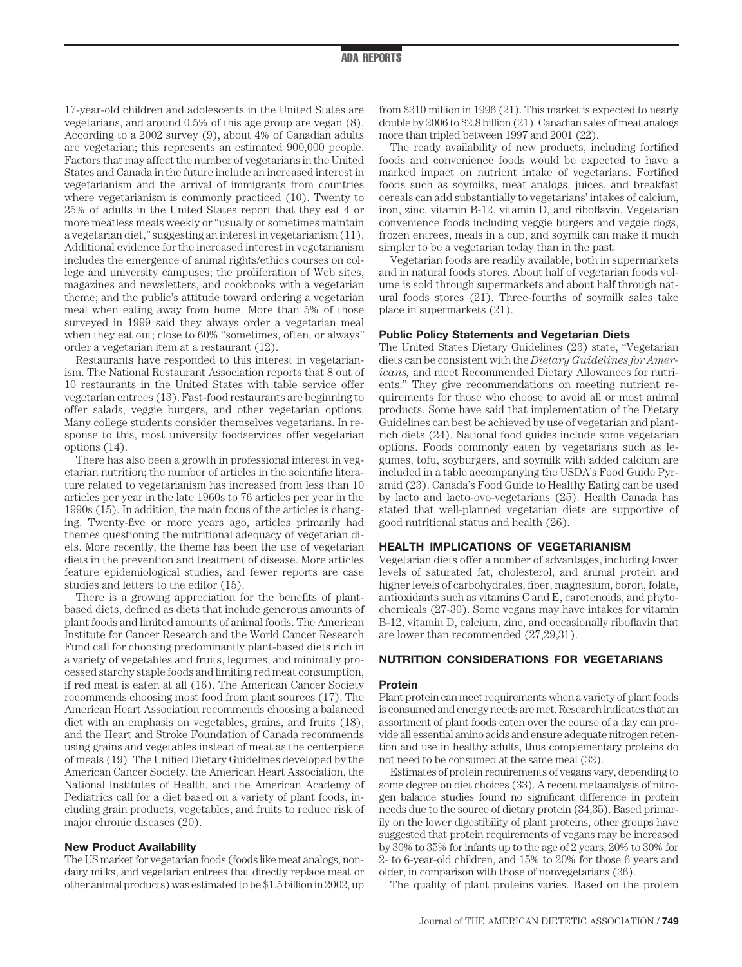17-year-old children and adolescents in the United States are vegetarians, and around 0.5% of this age group are vegan (8). According to a 2002 survey (9), about 4% of Canadian adults are vegetarian; this represents an estimated 900,000 people. Factors that may affect the number of vegetarians in the United States and Canada in the future include an increased interest in vegetarianism and the arrival of immigrants from countries where vegetarianism is commonly practiced (10). Twenty to 25% of adults in the United States report that they eat 4 or more meatless meals weekly or "usually or sometimes maintain a vegetarian diet," suggesting an interest in vegetarianism (11). Additional evidence for the increased interest in vegetarianism includes the emergence of animal rights/ethics courses on college and university campuses; the proliferation of Web sites, magazines and newsletters, and cookbooks with a vegetarian theme; and the public's attitude toward ordering a vegetarian meal when eating away from home. More than 5% of those surveyed in 1999 said they always order a vegetarian meal when they eat out; close to 60% "sometimes, often, or always" order a vegetarian item at a restaurant (12).

Restaurants have responded to this interest in vegetarianism. The National Restaurant Association reports that 8 out of 10 restaurants in the United States with table service offer vegetarian entrees (13). Fast-food restaurants are beginning to offer salads, veggie burgers, and other vegetarian options. Many college students consider themselves vegetarians. In response to this, most university foodservices offer vegetarian options (14).

There has also been a growth in professional interest in vegetarian nutrition; the number of articles in the scientific literature related to vegetarianism has increased from less than 10 articles per year in the late 1960s to 76 articles per year in the 1990s (15). In addition, the main focus of the articles is changing. Twenty-five or more years ago, articles primarily had themes questioning the nutritional adequacy of vegetarian diets. More recently, the theme has been the use of vegetarian diets in the prevention and treatment of disease. More articles feature epidemiological studies, and fewer reports are case studies and letters to the editor (15).

There is a growing appreciation for the benefits of plantbased diets, defined as diets that include generous amounts of plant foods and limited amounts of animal foods. The American Institute for Cancer Research and the World Cancer Research Fund call for choosing predominantly plant-based diets rich in a variety of vegetables and fruits, legumes, and minimally processed starchy staple foods and limiting red meat consumption, if red meat is eaten at all (16). The American Cancer Society recommends choosing most food from plant sources (17). The American Heart Association recommends choosing a balanced diet with an emphasis on vegetables, grains, and fruits (18), and the Heart and Stroke Foundation of Canada recommends using grains and vegetables instead of meat as the centerpiece of meals (19). The Unified Dietary Guidelines developed by the American Cancer Society, the American Heart Association, the National Institutes of Health, and the American Academy of Pediatrics call for a diet based on a variety of plant foods, including grain products, vegetables, and fruits to reduce risk of major chronic diseases (20).

# **New Product Availability**

The US market for vegetarian foods (foods like meat analogs, nondairy milks, and vegetarian entrees that directly replace meat or other animal products) was estimated to be \$1.5 billion in 2002, up from \$310 million in 1996 (21). This market is expected to nearly double by 2006 to \$2.8 billion (21). Canadian sales of meat analogs more than tripled between 1997 and 2001 (22).

The ready availability of new products, including fortified foods and convenience foods would be expected to have a marked impact on nutrient intake of vegetarians. Fortified foods such as soymilks, meat analogs, juices, and breakfast cereals can add substantially to vegetarians' intakes of calcium, iron, zinc, vitamin B-12, vitamin D, and riboflavin. Vegetarian convenience foods including veggie burgers and veggie dogs, frozen entrees, meals in a cup, and soymilk can make it much simpler to be a vegetarian today than in the past.

Vegetarian foods are readily available, both in supermarkets and in natural foods stores. About half of vegetarian foods volume is sold through supermarkets and about half through natural foods stores (21). Three-fourths of soymilk sales take place in supermarkets (21).

# **Public Policy Statements and Vegetarian Diets**

The United States Dietary Guidelines (23) state, "Vegetarian diets can be consistent with the *Dietary Guidelines for Americans,* and meet Recommended Dietary Allowances for nutrients." They give recommendations on meeting nutrient requirements for those who choose to avoid all or most animal products. Some have said that implementation of the Dietary Guidelines can best be achieved by use of vegetarian and plantrich diets (24). National food guides include some vegetarian options. Foods commonly eaten by vegetarians such as legumes, tofu, soyburgers, and soymilk with added calcium are included in a table accompanying the USDA's Food Guide Pyramid (23). Canada's Food Guide to Healthy Eating can be used by lacto and lacto-ovo-vegetarians (25). Health Canada has stated that well-planned vegetarian diets are supportive of good nutritional status and health (26).

# **HEALTH IMPLICATIONS OF VEGETARIANISM**

Vegetarian diets offer a number of advantages, including lower levels of saturated fat, cholesterol, and animal protein and higher levels of carbohydrates, fiber, magnesium, boron, folate, antioxidants such as vitamins C and E, carotenoids, and phytochemicals (27-30). Some vegans may have intakes for vitamin B-12, vitamin D, calcium, zinc, and occasionally riboflavin that are lower than recommended (27,29,31).

# **NUTRITION CONSIDERATIONS FOR VEGETARIANS**

# **Protein**

Plant protein can meet requirements when a variety of plant foods is consumed and energy needs are met. Research indicates that an assortment of plant foods eaten over the course of a day can provide all essential amino acids and ensure adequate nitrogen retention and use in healthy adults, thus complementary proteins do not need to be consumed at the same meal (32).

Estimates of protein requirements of vegans vary, depending to some degree on diet choices (33). A recent metaanalysis of nitrogen balance studies found no significant difference in protein needs due to the source of dietary protein (34,35). Based primarily on the lower digestibility of plant proteins, other groups have suggested that protein requirements of vegans may be increased by 30% to 35% for infants up to the age of 2 years, 20% to 30% for 2- to 6-year-old children, and 15% to 20% for those 6 years and older, in comparison with those of nonvegetarians (36).

The quality of plant proteins varies. Based on the protein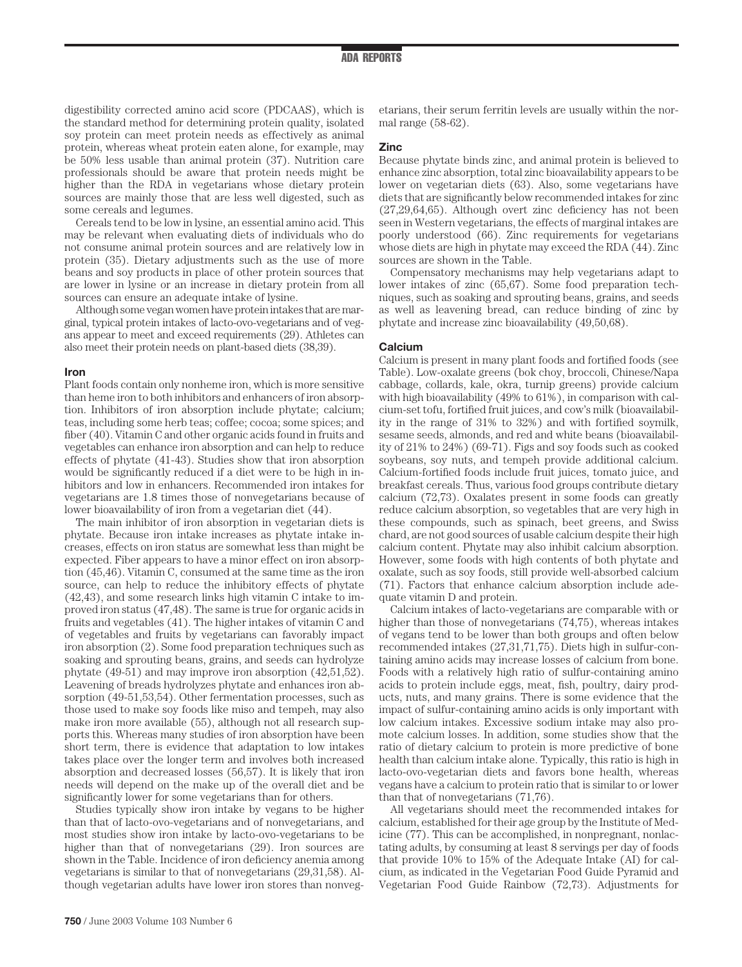digestibility corrected amino acid score (PDCAAS), which is the standard method for determining protein quality, isolated soy protein can meet protein needs as effectively as animal protein, whereas wheat protein eaten alone, for example, may be 50% less usable than animal protein (37). Nutrition care professionals should be aware that protein needs might be higher than the RDA in vegetarians whose dietary protein sources are mainly those that are less well digested, such as some cereals and legumes.

Cereals tend to be low in lysine, an essential amino acid. This may be relevant when evaluating diets of individuals who do not consume animal protein sources and are relatively low in protein (35). Dietary adjustments such as the use of more beans and soy products in place of other protein sources that are lower in lysine or an increase in dietary protein from all sources can ensure an adequate intake of lysine.

Although some vegan women have protein intakes that are marginal, typical protein intakes of lacto-ovo-vegetarians and of vegans appear to meet and exceed requirements (29). Athletes can also meet their protein needs on plant-based diets (38,39).

## **Iron**

Plant foods contain only nonheme iron, which is more sensitive than heme iron to both inhibitors and enhancers of iron absorption. Inhibitors of iron absorption include phytate; calcium; teas, including some herb teas; coffee; cocoa; some spices; and fiber (40). Vitamin C and other organic acids found in fruits and vegetables can enhance iron absorption and can help to reduce effects of phytate (41-43). Studies show that iron absorption would be significantly reduced if a diet were to be high in inhibitors and low in enhancers. Recommended iron intakes for vegetarians are 1.8 times those of nonvegetarians because of lower bioavailability of iron from a vegetarian diet (44).

The main inhibitor of iron absorption in vegetarian diets is phytate. Because iron intake increases as phytate intake increases, effects on iron status are somewhat less than might be expected. Fiber appears to have a minor effect on iron absorption (45,46). Vitamin C, consumed at the same time as the iron source, can help to reduce the inhibitory effects of phytate (42,43), and some research links high vitamin C intake to improved iron status (47,48). The same is true for organic acids in fruits and vegetables (41). The higher intakes of vitamin C and of vegetables and fruits by vegetarians can favorably impact iron absorption (2). Some food preparation techniques such as soaking and sprouting beans, grains, and seeds can hydrolyze phytate (49-51) and may improve iron absorption (42,51,52). Leavening of breads hydrolyzes phytate and enhances iron absorption (49-51,53,54). Other fermentation processes, such as those used to make soy foods like miso and tempeh, may also make iron more available (55), although not all research supports this. Whereas many studies of iron absorption have been short term, there is evidence that adaptation to low intakes takes place over the longer term and involves both increased absorption and decreased losses (56,57). It is likely that iron needs will depend on the make up of the overall diet and be significantly lower for some vegetarians than for others.

Studies typically show iron intake by vegans to be higher than that of lacto-ovo-vegetarians and of nonvegetarians, and most studies show iron intake by lacto-ovo-vegetarians to be higher than that of nonvegetarians (29). Iron sources are shown in the Table. Incidence of iron deficiency anemia among vegetarians is similar to that of nonvegetarians (29,31,58). Although vegetarian adults have lower iron stores than nonvegetarians, their serum ferritin levels are usually within the normal range (58-62).

## **Zinc**

Because phytate binds zinc, and animal protein is believed to enhance zinc absorption, total zinc bioavailability appears to be lower on vegetarian diets (63). Also, some vegetarians have diets that are significantly below recommended intakes for zinc (27,29,64,65). Although overt zinc deficiency has not been seen in Western vegetarians, the effects of marginal intakes are poorly understood (66). Zinc requirements for vegetarians whose diets are high in phytate may exceed the RDA (44). Zinc sources are shown in the Table.

Compensatory mechanisms may help vegetarians adapt to lower intakes of zinc (65,67). Some food preparation techniques, such as soaking and sprouting beans, grains, and seeds as well as leavening bread, can reduce binding of zinc by phytate and increase zinc bioavailability (49,50,68).

## **Calcium**

Calcium is present in many plant foods and fortified foods (see Table). Low-oxalate greens (bok choy, broccoli, Chinese/Napa cabbage, collards, kale, okra, turnip greens) provide calcium with high bioavailability (49% to 61%), in comparison with calcium-set tofu, fortified fruit juices, and cow's milk (bioavailability in the range of 31% to 32%) and with fortified soymilk, sesame seeds, almonds, and red and white beans (bioavailability of 21% to 24%) (69-71). Figs and soy foods such as cooked soybeans, soy nuts, and tempeh provide additional calcium. Calcium-fortified foods include fruit juices, tomato juice, and breakfast cereals. Thus, various food groups contribute dietary calcium (72,73). Oxalates present in some foods can greatly reduce calcium absorption, so vegetables that are very high in these compounds, such as spinach, beet greens, and Swiss chard, are not good sources of usable calcium despite their high calcium content. Phytate may also inhibit calcium absorption. However, some foods with high contents of both phytate and oxalate, such as soy foods, still provide well-absorbed calcium (71). Factors that enhance calcium absorption include adequate vitamin D and protein.

Calcium intakes of lacto-vegetarians are comparable with or higher than those of nonvegetarians (74,75), whereas intakes of vegans tend to be lower than both groups and often below recommended intakes (27,31,71,75). Diets high in sulfur-containing amino acids may increase losses of calcium from bone. Foods with a relatively high ratio of sulfur-containing amino acids to protein include eggs, meat, fish, poultry, dairy products, nuts, and many grains. There is some evidence that the impact of sulfur-containing amino acids is only important with low calcium intakes. Excessive sodium intake may also promote calcium losses. In addition, some studies show that the ratio of dietary calcium to protein is more predictive of bone health than calcium intake alone. Typically, this ratio is high in lacto-ovo-vegetarian diets and favors bone health, whereas vegans have a calcium to protein ratio that is similar to or lower than that of nonvegetarians (71,76).

All vegetarians should meet the recommended intakes for calcium, established for their age group by the Institute of Medicine (77). This can be accomplished, in nonpregnant, nonlactating adults, by consuming at least 8 servings per day of foods that provide 10% to 15% of the Adequate Intake (AI) for calcium, as indicated in the Vegetarian Food Guide Pyramid and Vegetarian Food Guide Rainbow (72,73). Adjustments for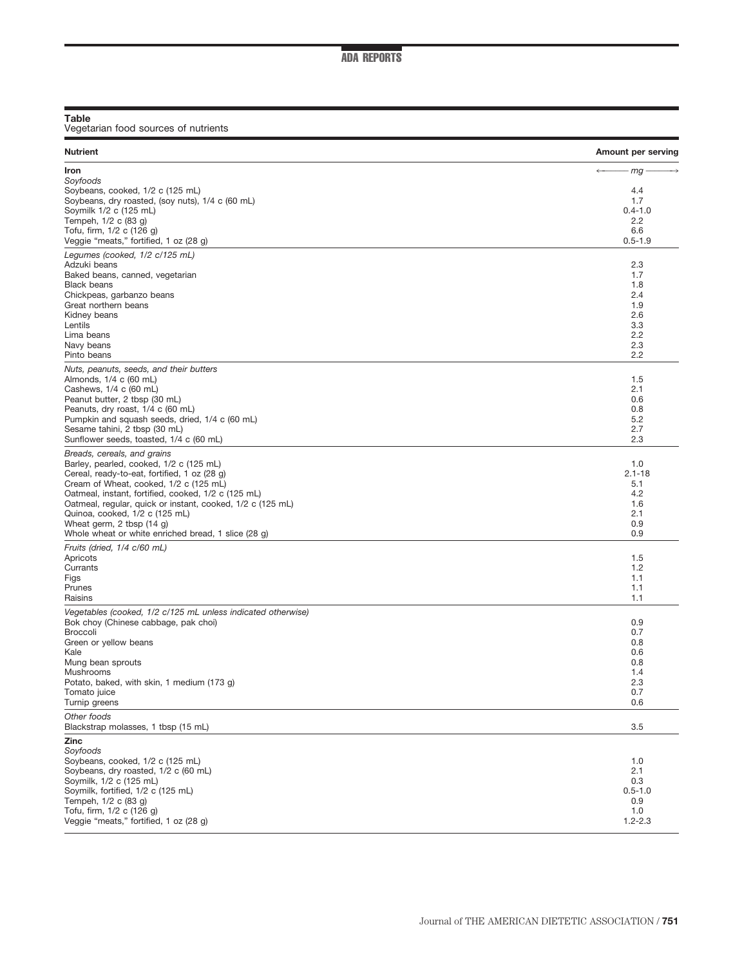**Table**

Vegetarian food sources of nutrients

| Nutrient                                                                                                                                                                                                                                                                                                                                                                                                    | Amount per serving                                                 |
|-------------------------------------------------------------------------------------------------------------------------------------------------------------------------------------------------------------------------------------------------------------------------------------------------------------------------------------------------------------------------------------------------------------|--------------------------------------------------------------------|
| Iron<br>Soyfoods<br>Soybeans, cooked, 1/2 c (125 mL)<br>Soybeans, dry roasted, (soy nuts), 1/4 c (60 mL)<br>Soymilk 1/2 c (125 mL)<br>Tempeh, 1/2 c (83 g)<br>Tofu, firm, 1/2 c (126 g)<br>Veggie "meats," fortified, 1 oz (28 g)                                                                                                                                                                           | mg<br>4.4<br>1.7<br>$0.4 - 1.0$<br>2.2<br>6.6<br>$0.5 - 1.9$       |
| Legumes (cooked, 1/2 c/125 mL)<br>Adzuki beans<br>Baked beans, canned, vegetarian<br>Black beans<br>Chickpeas, garbanzo beans<br>Great northern beans<br>Kidney beans<br>Lentils<br>Lima beans<br>Navy beans<br>Pinto beans                                                                                                                                                                                 | 2.3<br>1.7<br>1.8<br>2.4<br>1.9<br>2.6<br>3.3<br>2.2<br>2.3<br>2.2 |
| Nuts, peanuts, seeds, and their butters<br>Almonds, 1/4 c (60 mL)<br>Cashews, 1/4 c (60 mL)<br>Peanut butter, 2 tbsp (30 mL)<br>Peanuts, dry roast, 1/4 c (60 mL)<br>Pumpkin and squash seeds, dried, 1/4 c (60 mL)<br>Sesame tahini, 2 tbsp (30 mL)<br>Sunflower seeds, toasted, 1/4 c (60 mL)                                                                                                             | 1.5<br>2.1<br>0.6<br>0.8<br>5.2<br>2.7<br>2.3                      |
| Breads, cereals, and grains<br>Barley, pearled, cooked, 1/2 c (125 mL)<br>Cereal, ready-to-eat, fortified, 1 oz (28 g)<br>Cream of Wheat, cooked, 1/2 c (125 mL)<br>Oatmeal, instant, fortified, cooked, 1/2 c (125 mL)<br>Oatmeal, regular, quick or instant, cooked, 1/2 c (125 mL)<br>Quinoa, cooked, 1/2 c (125 mL)<br>Wheat germ, 2 tbsp (14 g)<br>Whole wheat or white enriched bread, 1 slice (28 g) | 1.0<br>$2.1 - 18$<br>5.1<br>4.2<br>1.6<br>2.1<br>0.9<br>0.9        |
| Fruits (dried, 1/4 c/60 mL)<br>Apricots<br>Currants<br>Figs<br>Prunes<br>Raisins                                                                                                                                                                                                                                                                                                                            | 1.5<br>1.2<br>1.1<br>1.1<br>1.1                                    |
| Vegetables (cooked, 1/2 c/125 mL unless indicated otherwise)<br>Bok choy (Chinese cabbage, pak choi)<br>Broccoli<br>Green or yellow beans<br>Kale<br>Mung bean sprouts<br>Mushrooms<br>Potato, baked, with skin, 1 medium (173 g)<br>Tomato juice<br>Turnip greens                                                                                                                                          | 0.9<br>0.7<br>0.8<br>0.6<br>0.8<br>1.4<br>2.3<br>0.7<br>0.6        |
| Other foods<br>Blackstrap molasses, 1 tbsp (15 mL)                                                                                                                                                                                                                                                                                                                                                          | 3.5                                                                |
| Zinc<br>Soyfoods<br>Soybeans, cooked, 1/2 c (125 mL)<br>Soybeans, dry roasted, 1/2 c (60 mL)<br>Soymilk, 1/2 c (125 mL)<br>Soymilk, fortified, 1/2 c (125 mL)<br>Tempeh, 1/2 c (83 g)<br>Tofu, firm, 1/2 c (126 g)<br>Veggie "meats," fortified, 1 oz (28 g)                                                                                                                                                | 1.0<br>2.1<br>0.3<br>$0.5 - 1.0$<br>0.9<br>1.0<br>$1.2 - 2.3$      |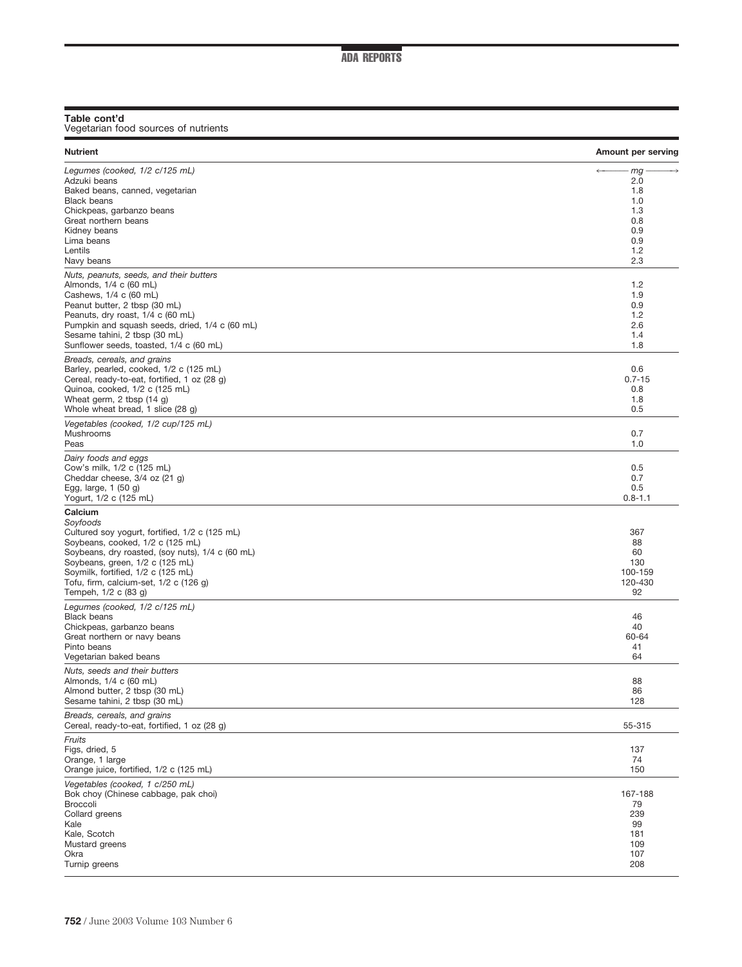**Table cont'd**

Vegetarian food sources of nutrients

| <b>Nutrient</b>                                                                                                                                                                                                                                                                                          | Amount per serving                                                |
|----------------------------------------------------------------------------------------------------------------------------------------------------------------------------------------------------------------------------------------------------------------------------------------------------------|-------------------------------------------------------------------|
| Legumes (cooked, 1/2 c/125 mL)<br>Adzuki beans<br>Baked beans, canned, vegetarian<br><b>Black beans</b><br>Chickpeas, garbanzo beans<br>Great northern beans<br>Kidney beans<br>Lima beans<br>Lentils<br>Navy beans                                                                                      | mg<br>2.0<br>1.8<br>1.0<br>1.3<br>0.8<br>0.9<br>0.9<br>1.2<br>2.3 |
| Nuts, peanuts, seeds, and their butters<br>Almonds, 1/4 c (60 mL)<br>Cashews, 1/4 c (60 mL)<br>Peanut butter, 2 tbsp (30 mL)<br>Peanuts, dry roast, 1/4 c (60 mL)<br>Pumpkin and squash seeds, dried, 1/4 c (60 mL)<br>Sesame tahini, 2 tbsp (30 mL)<br>Sunflower seeds, toasted, 1/4 c (60 mL)          | 1.2<br>1.9<br>0.9<br>1.2<br>2.6<br>1.4<br>1.8                     |
| Breads, cereals, and grains<br>Barley, pearled, cooked, 1/2 c (125 mL)<br>Cereal, ready-to-eat, fortified, 1 oz (28 g)<br>Quinoa, cooked, 1/2 c (125 mL)<br>Wheat germ, 2 tbsp (14 g)<br>Whole wheat bread, 1 slice (28 g)                                                                               | 0.6<br>$0.7 - 15$<br>0.8<br>1.8<br>0.5                            |
| Vegetables (cooked, 1/2 cup/125 mL)<br>Mushrooms<br>Peas                                                                                                                                                                                                                                                 | 0.7<br>1.0                                                        |
| Dairy foods and eggs<br>Cow's milk, 1/2 c (125 mL)<br>Cheddar cheese, 3/4 oz (21 g)<br>Egg, large, 1 (50 g)<br>Yogurt, 1/2 c (125 mL)                                                                                                                                                                    | 0.5<br>0.7<br>0.5<br>$0.8 - 1.1$                                  |
| Calcium<br>Soyfoods<br>Cultured soy yogurt, fortified, 1/2 c (125 mL)<br>Soybeans, cooked, 1/2 c (125 mL)<br>Soybeans, dry roasted, (soy nuts), 1/4 c (60 mL)<br>Soybeans, green, 1/2 c (125 mL)<br>Soymilk, fortified, 1/2 c (125 mL)<br>Tofu, firm, calcium-set, 1/2 c (126 g)<br>Tempeh, 1/2 c (83 g) | 367<br>88<br>60<br>130<br>100-159<br>120-430<br>92                |
| Legumes (cooked, 1/2 c/125 mL)<br>Black beans<br>Chickpeas, garbanzo beans<br>Great northern or navy beans<br>Pinto beans<br>Vegetarian baked beans                                                                                                                                                      | 46<br>40<br>60-64<br>41<br>64                                     |
| Nuts, seeds and their butters<br>Almonds, 1/4 c (60 mL)<br>Almond butter, 2 tbsp (30 mL)<br>Sesame tahini, 2 tbsp (30 mL)                                                                                                                                                                                | 88<br>86<br>128                                                   |
| Breads, cereals, and grains<br>Cereal, ready-to-eat, fortified, 1 oz (28 g)                                                                                                                                                                                                                              | 55-315                                                            |
| Fruits<br>Figs, dried, 5<br>Orange, 1 large<br>Orange juice, fortified, 1/2 c (125 mL)                                                                                                                                                                                                                   | 137<br>74<br>150                                                  |
| Vegetables (cooked, 1 c/250 mL)<br>Bok choy (Chinese cabbage, pak choi)<br><b>Broccoli</b><br>Collard greens<br>Kale<br>Kale, Scotch<br>Mustard greens<br>Okra<br>Turnip greens                                                                                                                          | 167-188<br>79<br>239<br>99<br>181<br>109<br>107<br>208            |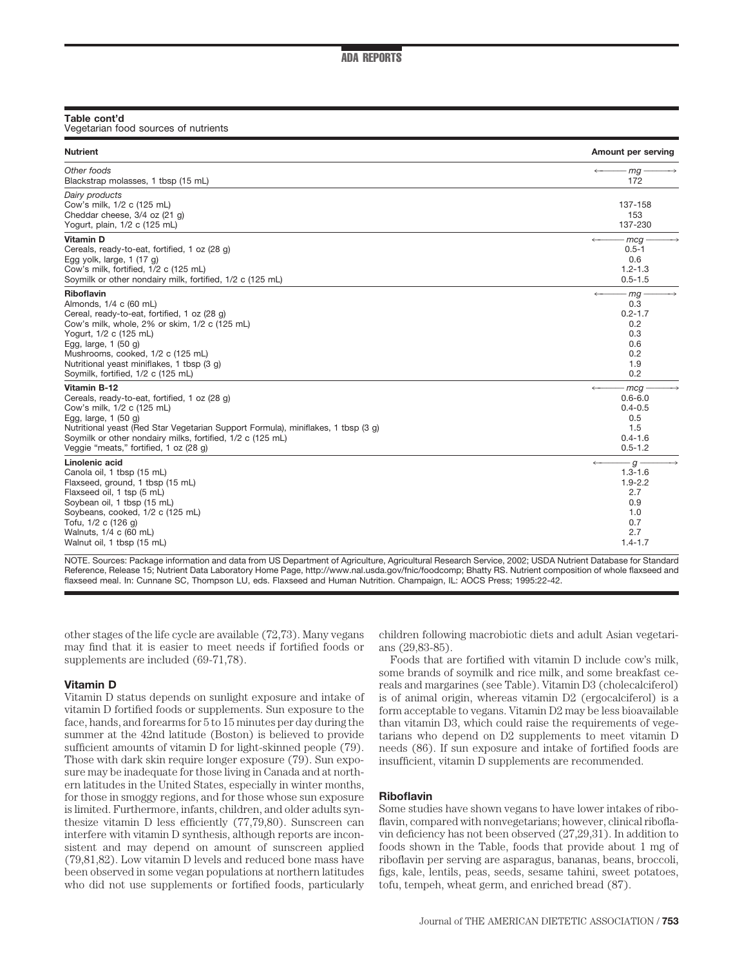| Vegetarian food sources of nutrients                                                                           |                           |  |
|----------------------------------------------------------------------------------------------------------------|---------------------------|--|
| <b>Nutrient</b>                                                                                                | Amount per serving        |  |
| Other foods                                                                                                    | mg                        |  |
| Blackstrap molasses, 1 tbsp (15 mL)                                                                            | 172                       |  |
| Dairy products<br>Cow's milk, 1/2 c (125 mL)<br>Cheddar cheese, 3/4 oz (21 q)<br>Yogurt, plain, 1/2 c (125 mL) | 137-158<br>153<br>137-230 |  |
| <b>Vitamin D</b>                                                                                               | - mcq                     |  |
| Cereals, ready-to-eat, fortified, 1 oz (28 g)                                                                  | $0.5 - 1$                 |  |
| Egg yolk, large, $1(17g)$                                                                                      | 0.6                       |  |
| Cow's milk, fortified, 1/2 c (125 mL)                                                                          | $1.2 - 1.3$               |  |
| Soymilk or other nondairy milk, fortified, 1/2 c (125 mL)                                                      | $0.5 - 1.5$               |  |
| <b>Riboflavin</b>                                                                                              | mg <sub>1</sub>           |  |
| Almonds, 1/4 c (60 mL)                                                                                         | 0.3                       |  |
| Cereal, ready-to-eat, fortified, 1 oz (28 q)                                                                   | $0.2 - 1.7$               |  |
| Cow's milk, whole, 2% or skim, 1/2 c (125 mL)                                                                  | 0.2                       |  |
| Yogurt, 1/2 c (125 mL)                                                                                         | 0.3                       |  |
| Egg, large, 1 (50 g)                                                                                           | 0.6                       |  |
| Mushrooms, cooked, 1/2 c (125 mL)                                                                              | 0.2                       |  |
| Nutritional yeast miniflakes, 1 tbsp (3 q)                                                                     | 1.9                       |  |
| Soymilk, fortified, 1/2 c (125 mL)                                                                             | 0.2                       |  |
| Vitamin B-12                                                                                                   | mcg                       |  |
| Cereals, ready-to-eat, fortified, 1 oz (28 q)                                                                  | $0.6 - 6.0$               |  |
| Cow's milk, 1/2 c (125 mL)                                                                                     | $0.4 - 0.5$               |  |
| Egg, large, 1 (50 g)                                                                                           | 0.5                       |  |
| Nutritional yeast (Red Star Vegetarian Support Formula), miniflakes, 1 tbsp (3 g)                              | 1.5                       |  |
| Soymilk or other nondairy milks, fortified, 1/2 c (125 mL)                                                     | $0.4 - 1.6$               |  |
| Veggie "meats," fortified, 1 oz (28 g)                                                                         | $0.5 - 1.2$               |  |
| Linolenic acid                                                                                                 | $q -$                     |  |
| Canola oil, 1 tbsp (15 mL)                                                                                     | $1.3 - 1.6$               |  |
| Flaxseed, ground, 1 tbsp (15 mL)                                                                               | $1.9 - 2.2$               |  |
| Flaxseed oil, 1 tsp (5 mL)                                                                                     | 2.7                       |  |
| Soybean oil, 1 tbsp (15 mL)                                                                                    | 0.9                       |  |
| Soybeans, cooked, 1/2 c (125 mL)                                                                               | 1.0                       |  |
| Tofu, 1/2 c (126 g)                                                                                            | 0.7                       |  |
| Walnuts, 1/4 c (60 mL)                                                                                         | 2.7                       |  |
| Walnut oil, 1 tbsp (15 mL)                                                                                     | $1.4 - 1.7$               |  |

NOTE. Sources: Package information and data from US Department of Agriculture, Agricultural Research Service, 2002; USDA Nutrient Database for Standard Reference, Release 15; Nutrient Data Laboratory Home Page, http://www.nal.usda.gov/fnic/foodcomp; Bhatty RS. Nutrient composition of whole flaxseed and flaxseed meal. In: Cunnane SC, Thompson LU, eds. Flaxseed and Human Nutrition. Champaign, IL: AOCS Press; 1995:22-42.

other stages of the life cycle are available (72,73). Many vegans may find that it is easier to meet needs if fortified foods or supplements are included (69-71,78).

# **Vitamin D**

**Table cont'd**

Vitamin D status depends on sunlight exposure and intake of vitamin D fortified foods or supplements. Sun exposure to the face, hands, and forearms for 5 to 15 minutes per day during the summer at the 42nd latitude (Boston) is believed to provide sufficient amounts of vitamin D for light-skinned people (79). Those with dark skin require longer exposure (79). Sun exposure may be inadequate for those living in Canada and at northern latitudes in the United States, especially in winter months, for those in smoggy regions, and for those whose sun exposure is limited. Furthermore, infants, children, and older adults synthesize vitamin D less efficiently (77,79,80). Sunscreen can interfere with vitamin D synthesis, although reports are inconsistent and may depend on amount of sunscreen applied (79,81,82). Low vitamin D levels and reduced bone mass have been observed in some vegan populations at northern latitudes who did not use supplements or fortified foods, particularly

children following macrobiotic diets and adult Asian vegetarians (29,83-85).

Foods that are fortified with vitamin D include cow's milk, some brands of soymilk and rice milk, and some breakfast cereals and margarines (see Table). Vitamin D3 (cholecalciferol) is of animal origin, whereas vitamin D2 (ergocalciferol) is a form acceptable to vegans. Vitamin D2 may be less bioavailable than vitamin D3, which could raise the requirements of vegetarians who depend on D2 supplements to meet vitamin D needs (86). If sun exposure and intake of fortified foods are insufficient, vitamin D supplements are recommended.

# **Riboflavin**

Some studies have shown vegans to have lower intakes of riboflavin, compared with nonvegetarians; however, clinical riboflavin deficiency has not been observed (27,29,31). In addition to foods shown in the Table, foods that provide about 1 mg of riboflavin per serving are asparagus, bananas, beans, broccoli, figs, kale, lentils, peas, seeds, sesame tahini, sweet potatoes, tofu, tempeh, wheat germ, and enriched bread (87).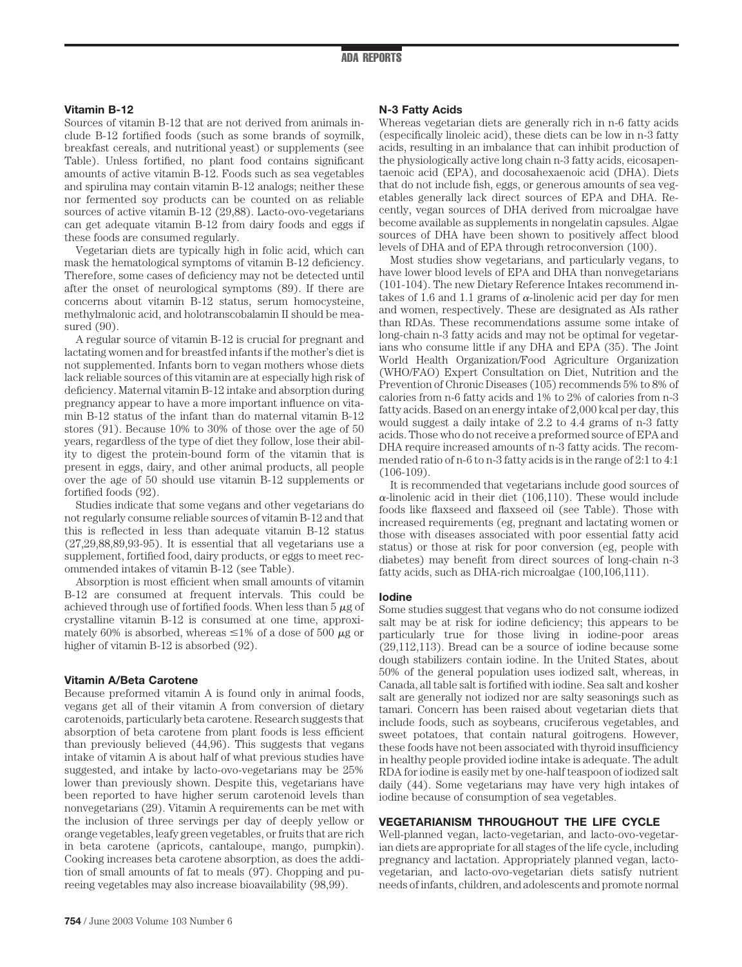# **Vitamin B-12**

Sources of vitamin B-12 that are not derived from animals include B-12 fortified foods (such as some brands of soymilk, breakfast cereals, and nutritional yeast) or supplements (see Table). Unless fortified, no plant food contains significant amounts of active vitamin B-12. Foods such as sea vegetables and spirulina may contain vitamin B-12 analogs; neither these nor fermented soy products can be counted on as reliable sources of active vitamin B-12 (29,88). Lacto-ovo-vegetarians can get adequate vitamin B-12 from dairy foods and eggs if these foods are consumed regularly.

Vegetarian diets are typically high in folic acid, which can mask the hematological symptoms of vitamin B-12 deficiency. Therefore, some cases of deficiency may not be detected until after the onset of neurological symptoms (89). If there are concerns about vitamin B-12 status, serum homocysteine, methylmalonic acid, and holotranscobalamin II should be measured (90).

A regular source of vitamin B-12 is crucial for pregnant and lactating women and for breastfed infants if the mother's diet is not supplemented. Infants born to vegan mothers whose diets lack reliable sources of this vitamin are at especially high risk of deficiency. Maternal vitamin B-12 intake and absorption during pregnancy appear to have a more important influence on vitamin B-12 status of the infant than do maternal vitamin B-12 stores (91). Because 10% to 30% of those over the age of 50 years, regardless of the type of diet they follow, lose their ability to digest the protein-bound form of the vitamin that is present in eggs, dairy, and other animal products, all people over the age of 50 should use vitamin B-12 supplements or fortified foods (92).

Studies indicate that some vegans and other vegetarians do not regularly consume reliable sources of vitamin B-12 and that this is reflected in less than adequate vitamin B-12 status (27,29,88,89,93-95). It is essential that all vegetarians use a supplement, fortified food, dairy products, or eggs to meet recommended intakes of vitamin B-12 (see Table).

Absorption is most efficient when small amounts of vitamin B-12 are consumed at frequent intervals. This could be achieved through use of fortified foods. When less than  $5 \mu$ g of crystalline vitamin B-12 is consumed at one time, approximately 60% is absorbed, whereas  $\leq$ 1% of a dose of 500  $\mu$ g or higher of vitamin B-12 is absorbed (92).

# **Vitamin A/Beta Carotene**

Because preformed vitamin A is found only in animal foods, vegans get all of their vitamin A from conversion of dietary carotenoids, particularly beta carotene. Research suggests that absorption of beta carotene from plant foods is less efficient than previously believed (44,96). This suggests that vegans intake of vitamin A is about half of what previous studies have suggested, and intake by lacto-ovo-vegetarians may be 25% lower than previously shown. Despite this, vegetarians have been reported to have higher serum carotenoid levels than nonvegetarians (29). Vitamin A requirements can be met with the inclusion of three servings per day of deeply yellow or orange vegetables, leafy green vegetables, or fruits that are rich in beta carotene (apricots, cantaloupe, mango, pumpkin). Cooking increases beta carotene absorption, as does the addition of small amounts of fat to meals (97). Chopping and pureeing vegetables may also increase bioavailability (98,99).

Whereas vegetarian diets are generally rich in n-6 fatty acids (especifically linoleic acid), these diets can be low in n-3 fatty acids, resulting in an imbalance that can inhibit production of the physiologically active long chain n-3 fatty acids, eicosapentaenoic acid (EPA), and docosahexaenoic acid (DHA). Diets that do not include fish, eggs, or generous amounts of sea vegetables generally lack direct sources of EPA and DHA. Recently, vegan sources of DHA derived from microalgae have become available as supplements in nongelatin capsules. Algae sources of DHA have been shown to positively affect blood levels of DHA and of EPA through retroconversion (100).

Most studies show vegetarians, and particularly vegans, to have lower blood levels of EPA and DHA than nonvegetarians (101-104). The new Dietary Reference Intakes recommend intakes of 1.6 and 1.1 grams of  $\alpha$ -linolenic acid per day for men and women, respectively. These are designated as AIs rather than RDAs. These recommendations assume some intake of long-chain n-3 fatty acids and may not be optimal for vegetarians who consume little if any DHA and EPA (35). The Joint World Health Organization/Food Agriculture Organization (WHO/FAO) Expert Consultation on Diet, Nutrition and the Prevention of Chronic Diseases (105) recommends 5% to 8% of calories from n-6 fatty acids and 1% to 2% of calories from n-3 fatty acids. Based on an energy intake of 2,000 kcal per day, this would suggest a daily intake of 2.2 to 4.4 grams of n-3 fatty acids. Those who do not receive a preformed source of EPA and DHA require increased amounts of n-3 fatty acids. The recommended ratio of n-6 to n-3 fatty acids is in the range of 2:1 to 4:1 (106-109).

It is recommended that vegetarians include good sources of  $\alpha$ -linolenic acid in their diet (106,110). These would include foods like flaxseed and flaxseed oil (see Table). Those with increased requirements (eg, pregnant and lactating women or those with diseases associated with poor essential fatty acid status) or those at risk for poor conversion (eg, people with diabetes) may benefit from direct sources of long-chain n-3 fatty acids, such as DHA-rich microalgae (100,106,111).

# **Iodine**

Some studies suggest that vegans who do not consume iodized salt may be at risk for iodine deficiency; this appears to be particularly true for those living in iodine-poor areas (29,112,113). Bread can be a source of iodine because some dough stabilizers contain iodine. In the United States, about 50% of the general population uses iodized salt, whereas, in Canada, all table salt is fortified with iodine. Sea salt and kosher salt are generally not iodized nor are salty seasonings such as tamari. Concern has been raised about vegetarian diets that include foods, such as soybeans, cruciferous vegetables, and sweet potatoes, that contain natural goitrogens. However, these foods have not been associated with thyroid insufficiency in healthy people provided iodine intake is adequate. The adult RDA for iodine is easily met by one-half teaspoon of iodized salt daily (44). Some vegetarians may have very high intakes of iodine because of consumption of sea vegetables.

# **VEGETARIANISM THROUGHOUT THE LIFE CYCLE**

Well-planned vegan, lacto-vegetarian, and lacto-ovo-vegetarian diets are appropriate for all stages of the life cycle, including pregnancy and lactation. Appropriately planned vegan, lactovegetarian, and lacto-ovo-vegetarian diets satisfy nutrient needs of infants, children, and adolescents and promote normal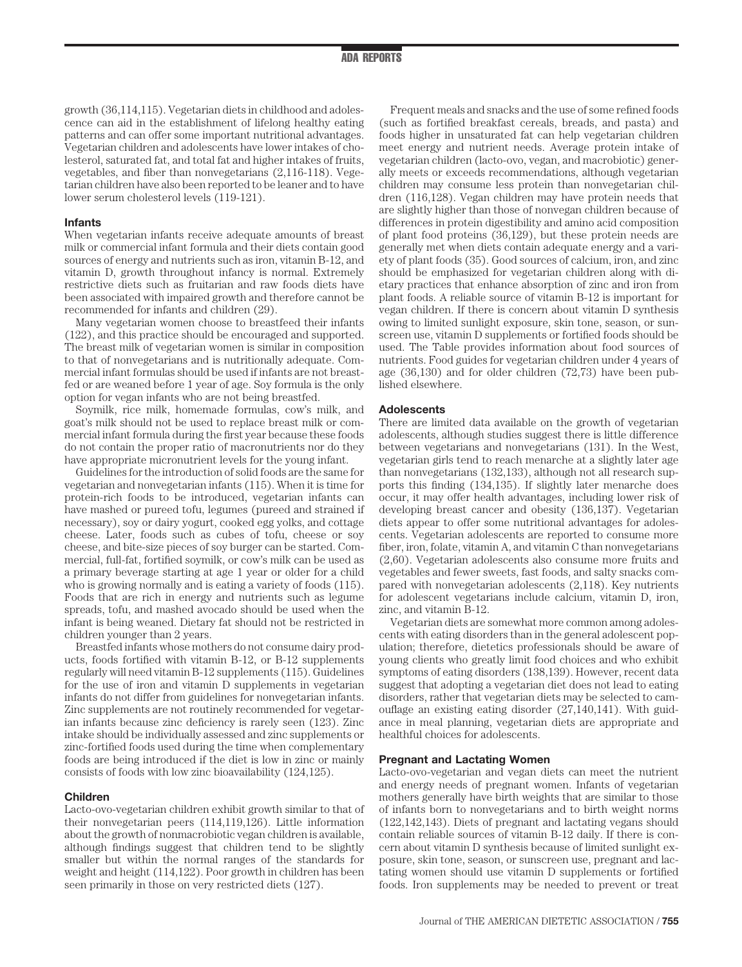growth (36,114,115). Vegetarian diets in childhood and adolescence can aid in the establishment of lifelong healthy eating patterns and can offer some important nutritional advantages. Vegetarian children and adolescents have lower intakes of cholesterol, saturated fat, and total fat and higher intakes of fruits, vegetables, and fiber than nonvegetarians (2,116-118). Vegetarian children have also been reported to be leaner and to have lower serum cholesterol levels (119-121).

# **Infants**

When vegetarian infants receive adequate amounts of breast milk or commercial infant formula and their diets contain good sources of energy and nutrients such as iron, vitamin B-12, and vitamin D, growth throughout infancy is normal. Extremely restrictive diets such as fruitarian and raw foods diets have been associated with impaired growth and therefore cannot be recommended for infants and children (29).

Many vegetarian women choose to breastfeed their infants (122), and this practice should be encouraged and supported. The breast milk of vegetarian women is similar in composition to that of nonvegetarians and is nutritionally adequate. Commercial infant formulas should be used if infants are not breastfed or are weaned before 1 year of age. Soy formula is the only option for vegan infants who are not being breastfed.

Soymilk, rice milk, homemade formulas, cow's milk, and goat's milk should not be used to replace breast milk or commercial infant formula during the first year because these foods do not contain the proper ratio of macronutrients nor do they have appropriate micronutrient levels for the young infant.

Guidelines for the introduction of solid foods are the same for vegetarian and nonvegetarian infants (115). When it is time for protein-rich foods to be introduced, vegetarian infants can have mashed or pureed tofu, legumes (pureed and strained if necessary), soy or dairy yogurt, cooked egg yolks, and cottage cheese. Later, foods such as cubes of tofu, cheese or soy cheese, and bite-size pieces of soy burger can be started. Commercial, full-fat, fortified soymilk, or cow's milk can be used as a primary beverage starting at age 1 year or older for a child who is growing normally and is eating a variety of foods (115). Foods that are rich in energy and nutrients such as legume spreads, tofu, and mashed avocado should be used when the infant is being weaned. Dietary fat should not be restricted in children younger than 2 years.

Breastfed infants whose mothers do not consume dairy products, foods fortified with vitamin B-12, or B-12 supplements regularly will need vitamin B-12 supplements (115). Guidelines for the use of iron and vitamin D supplements in vegetarian infants do not differ from guidelines for nonvegetarian infants. Zinc supplements are not routinely recommended for vegetarian infants because zinc deficiency is rarely seen (123). Zinc intake should be individually assessed and zinc supplements or zinc-fortified foods used during the time when complementary foods are being introduced if the diet is low in zinc or mainly consists of foods with low zinc bioavailability (124,125).

#### **Children**

Lacto-ovo-vegetarian children exhibit growth similar to that of their nonvegetarian peers (114,119,126). Little information about the growth of nonmacrobiotic vegan children is available, although findings suggest that children tend to be slightly smaller but within the normal ranges of the standards for weight and height (114,122). Poor growth in children has been seen primarily in those on very restricted diets (127).

Frequent meals and snacks and the use of some refined foods (such as fortified breakfast cereals, breads, and pasta) and foods higher in unsaturated fat can help vegetarian children meet energy and nutrient needs. Average protein intake of vegetarian children (lacto-ovo, vegan, and macrobiotic) generally meets or exceeds recommendations, although vegetarian children may consume less protein than nonvegetarian children (116,128). Vegan children may have protein needs that are slightly higher than those of nonvegan children because of differences in protein digestibility and amino acid composition of plant food proteins (36,129), but these protein needs are generally met when diets contain adequate energy and a variety of plant foods (35). Good sources of calcium, iron, and zinc should be emphasized for vegetarian children along with dietary practices that enhance absorption of zinc and iron from plant foods. A reliable source of vitamin B-12 is important for vegan children. If there is concern about vitamin D synthesis owing to limited sunlight exposure, skin tone, season, or sunscreen use, vitamin D supplements or fortified foods should be used. The Table provides information about food sources of nutrients. Food guides for vegetarian children under 4 years of age (36,130) and for older children (72,73) have been published elsewhere.

#### **Adolescents**

There are limited data available on the growth of vegetarian adolescents, although studies suggest there is little difference between vegetarians and nonvegetarians (131). In the West, vegetarian girls tend to reach menarche at a slightly later age than nonvegetarians (132,133), although not all research supports this finding (134,135). If slightly later menarche does occur, it may offer health advantages, including lower risk of developing breast cancer and obesity (136,137). Vegetarian diets appear to offer some nutritional advantages for adolescents. Vegetarian adolescents are reported to consume more fiber, iron, folate, vitamin A, and vitamin C than nonvegetarians (2,60). Vegetarian adolescents also consume more fruits and vegetables and fewer sweets, fast foods, and salty snacks compared with nonvegetarian adolescents (2,118). Key nutrients for adolescent vegetarians include calcium, vitamin D, iron, zinc, and vitamin B-12.

Vegetarian diets are somewhat more common among adolescents with eating disorders than in the general adolescent population; therefore, dietetics professionals should be aware of young clients who greatly limit food choices and who exhibit symptoms of eating disorders (138,139). However, recent data suggest that adopting a vegetarian diet does not lead to eating disorders, rather that vegetarian diets may be selected to camouflage an existing eating disorder (27,140,141). With guidance in meal planning, vegetarian diets are appropriate and healthful choices for adolescents.

# **Pregnant and Lactating Women**

Lacto-ovo-vegetarian and vegan diets can meet the nutrient and energy needs of pregnant women. Infants of vegetarian mothers generally have birth weights that are similar to those of infants born to nonvegetarians and to birth weight norms (122,142,143). Diets of pregnant and lactating vegans should contain reliable sources of vitamin B-12 daily. If there is concern about vitamin D synthesis because of limited sunlight exposure, skin tone, season, or sunscreen use, pregnant and lactating women should use vitamin D supplements or fortified foods. Iron supplements may be needed to prevent or treat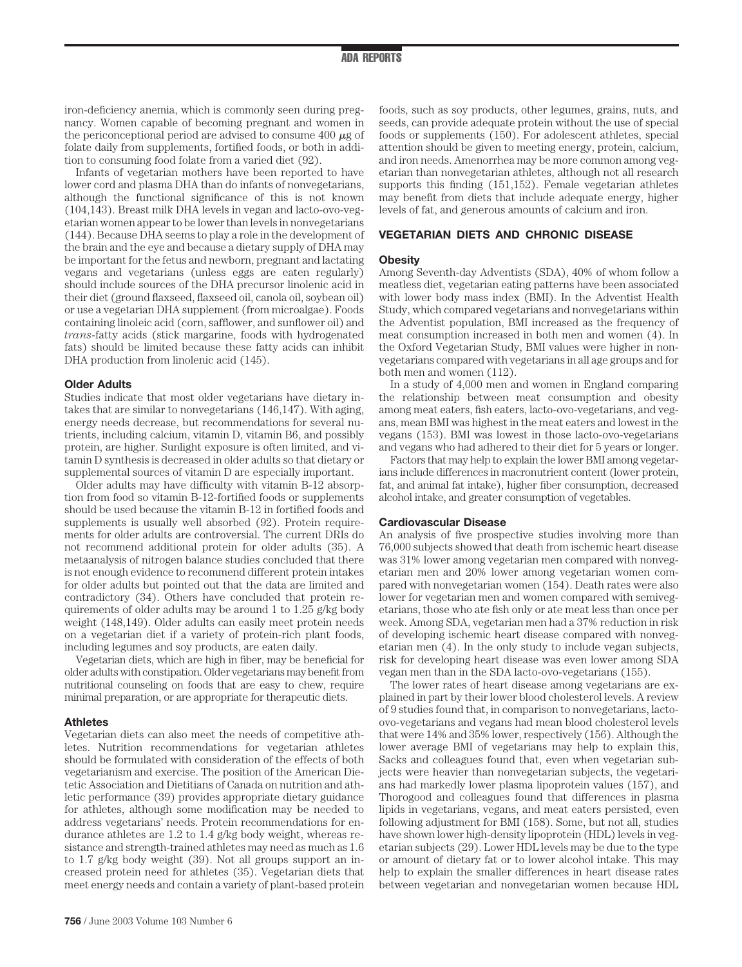iron-deficiency anemia, which is commonly seen during pregnancy. Women capable of becoming pregnant and women in the periconceptional period are advised to consume  $400 \mu$ g of folate daily from supplements, fortified foods, or both in addition to consuming food folate from a varied diet (92).

Infants of vegetarian mothers have been reported to have lower cord and plasma DHA than do infants of nonvegetarians, although the functional significance of this is not known (104,143). Breast milk DHA levels in vegan and lacto-ovo-vegetarian women appear to be lower than levels in nonvegetarians (144). Because DHA seems to play a role in the development of the brain and the eye and because a dietary supply of DHA may be important for the fetus and newborn, pregnant and lactating vegans and vegetarians (unless eggs are eaten regularly) should include sources of the DHA precursor linolenic acid in their diet (ground flaxseed, flaxseed oil, canola oil, soybean oil) or use a vegetarian DHA supplement (from microalgae). Foods containing linoleic acid (corn, safflower, and sunflower oil) and *trans*-fatty acids (stick margarine, foods with hydrogenated fats) should be limited because these fatty acids can inhibit DHA production from linolenic acid (145).

## **Older Adults**

Studies indicate that most older vegetarians have dietary intakes that are similar to nonvegetarians (146,147). With aging, energy needs decrease, but recommendations for several nutrients, including calcium, vitamin D, vitamin B6, and possibly protein, are higher. Sunlight exposure is often limited, and vitamin D synthesis is decreased in older adults so that dietary or supplemental sources of vitamin D are especially important.

Older adults may have difficulty with vitamin B-12 absorption from food so vitamin B-12-fortified foods or supplements should be used because the vitamin B-12 in fortified foods and supplements is usually well absorbed (92). Protein requirements for older adults are controversial. The current DRIs do not recommend additional protein for older adults (35). A metaanalysis of nitrogen balance studies concluded that there is not enough evidence to recommend different protein intakes for older adults but pointed out that the data are limited and contradictory (34). Others have concluded that protein requirements of older adults may be around 1 to 1.25 g/kg body weight (148,149). Older adults can easily meet protein needs on a vegetarian diet if a variety of protein-rich plant foods, including legumes and soy products, are eaten daily.

Vegetarian diets, which are high in fiber, may be beneficial for older adults with constipation. Older vegetarians may benefit from nutritional counseling on foods that are easy to chew, require minimal preparation, or are appropriate for therapeutic diets.

## **Athletes**

Vegetarian diets can also meet the needs of competitive athletes. Nutrition recommendations for vegetarian athletes should be formulated with consideration of the effects of both vegetarianism and exercise. The position of the American Dietetic Association and Dietitians of Canada on nutrition and athletic performance (39) provides appropriate dietary guidance for athletes, although some modification may be needed to address vegetarians' needs. Protein recommendations for endurance athletes are 1.2 to 1.4 g/kg body weight, whereas resistance and strength-trained athletes may need as much as 1.6 to 1.7 g/kg body weight (39). Not all groups support an increased protein need for athletes (35). Vegetarian diets that meet energy needs and contain a variety of plant-based protein foods, such as soy products, other legumes, grains, nuts, and seeds, can provide adequate protein without the use of special foods or supplements (150). For adolescent athletes, special attention should be given to meeting energy, protein, calcium, and iron needs. Amenorrhea may be more common among vegetarian than nonvegetarian athletes, although not all research supports this finding (151,152). Female vegetarian athletes may benefit from diets that include adequate energy, higher levels of fat, and generous amounts of calcium and iron.

# **VEGETARIAN DIETS AND CHRONIC DISEASE**

#### **Obesity**

Among Seventh-day Adventists (SDA), 40% of whom follow a meatless diet, vegetarian eating patterns have been associated with lower body mass index (BMI). In the Adventist Health Study, which compared vegetarians and nonvegetarians within the Adventist population, BMI increased as the frequency of meat consumption increased in both men and women (4). In the Oxford Vegetarian Study, BMI values were higher in nonvegetarians compared with vegetarians in all age groups and for both men and women (112).

In a study of 4,000 men and women in England comparing the relationship between meat consumption and obesity among meat eaters, fish eaters, lacto-ovo-vegetarians, and vegans, mean BMI was highest in the meat eaters and lowest in the vegans (153). BMI was lowest in those lacto-ovo-vegetarians and vegans who had adhered to their diet for 5 years or longer.

Factors that may help to explain the lower BMI among vegetarians include differences in macronutrient content (lower protein, fat, and animal fat intake), higher fiber consumption, decreased alcohol intake, and greater consumption of vegetables.

#### **Cardiovascular Disease**

An analysis of five prospective studies involving more than 76,000 subjects showed that death from ischemic heart disease was 31% lower among vegetarian men compared with nonvegetarian men and 20% lower among vegetarian women compared with nonvegetarian women (154). Death rates were also lower for vegetarian men and women compared with semivegetarians, those who ate fish only or ate meat less than once per week. Among SDA, vegetarian men had a 37% reduction in risk of developing ischemic heart disease compared with nonvegetarian men (4). In the only study to include vegan subjects, risk for developing heart disease was even lower among SDA vegan men than in the SDA lacto-ovo-vegetarians (155).

The lower rates of heart disease among vegetarians are explained in part by their lower blood cholesterol levels. A review of 9 studies found that, in comparison to nonvegetarians, lactoovo-vegetarians and vegans had mean blood cholesterol levels that were 14% and 35% lower, respectively (156). Although the lower average BMI of vegetarians may help to explain this, Sacks and colleagues found that, even when vegetarian subjects were heavier than nonvegetarian subjects, the vegetarians had markedly lower plasma lipoprotein values (157), and Thorogood and colleagues found that differences in plasma lipids in vegetarians, vegans, and meat eaters persisted, even following adjustment for BMI (158). Some, but not all, studies have shown lower high-density lipoprotein (HDL) levels in vegetarian subjects (29). Lower HDL levels may be due to the type or amount of dietary fat or to lower alcohol intake. This may help to explain the smaller differences in heart disease rates between vegetarian and nonvegetarian women because HDL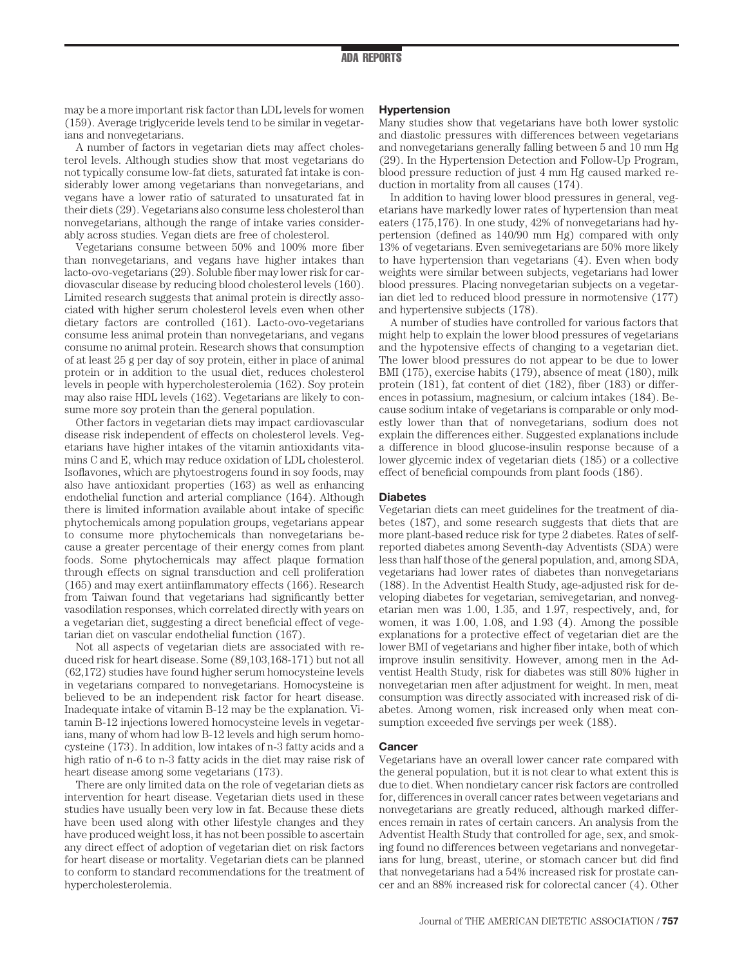may be a more important risk factor than LDL levels for women (159). Average triglyceride levels tend to be similar in vegetarians and nonvegetarians.

A number of factors in vegetarian diets may affect cholesterol levels. Although studies show that most vegetarians do not typically consume low-fat diets, saturated fat intake is considerably lower among vegetarians than nonvegetarians, and vegans have a lower ratio of saturated to unsaturated fat in their diets (29). Vegetarians also consume less cholesterol than nonvegetarians, although the range of intake varies considerably across studies. Vegan diets are free of cholesterol.

Vegetarians consume between 50% and 100% more fiber than nonvegetarians, and vegans have higher intakes than lacto-ovo-vegetarians (29). Soluble fiber may lower risk for cardiovascular disease by reducing blood cholesterol levels (160). Limited research suggests that animal protein is directly associated with higher serum cholesterol levels even when other dietary factors are controlled (161). Lacto-ovo-vegetarians consume less animal protein than nonvegetarians, and vegans consume no animal protein. Research shows that consumption of at least 25 g per day of soy protein, either in place of animal protein or in addition to the usual diet, reduces cholesterol levels in people with hypercholesterolemia (162). Soy protein may also raise HDL levels (162). Vegetarians are likely to consume more soy protein than the general population.

Other factors in vegetarian diets may impact cardiovascular disease risk independent of effects on cholesterol levels. Vegetarians have higher intakes of the vitamin antioxidants vitamins C and E, which may reduce oxidation of LDL cholesterol. Isoflavones, which are phytoestrogens found in soy foods, may also have antioxidant properties (163) as well as enhancing endothelial function and arterial compliance (164). Although there is limited information available about intake of specific phytochemicals among population groups, vegetarians appear to consume more phytochemicals than nonvegetarians because a greater percentage of their energy comes from plant foods. Some phytochemicals may affect plaque formation through effects on signal transduction and cell proliferation (165) and may exert antiinflammatory effects (166). Research from Taiwan found that vegetarians had significantly better vasodilation responses, which correlated directly with years on a vegetarian diet, suggesting a direct beneficial effect of vegetarian diet on vascular endothelial function (167).

Not all aspects of vegetarian diets are associated with reduced risk for heart disease. Some (89,103,168-171) but not all (62,172) studies have found higher serum homocysteine levels in vegetarians compared to nonvegetarians. Homocysteine is believed to be an independent risk factor for heart disease. Inadequate intake of vitamin B-12 may be the explanation. Vitamin B-12 injections lowered homocysteine levels in vegetarians, many of whom had low B-12 levels and high serum homocysteine (173). In addition, low intakes of n-3 fatty acids and a high ratio of n-6 to n-3 fatty acids in the diet may raise risk of heart disease among some vegetarians (173).

There are only limited data on the role of vegetarian diets as intervention for heart disease. Vegetarian diets used in these studies have usually been very low in fat. Because these diets have been used along with other lifestyle changes and they have produced weight loss, it has not been possible to ascertain any direct effect of adoption of vegetarian diet on risk factors for heart disease or mortality. Vegetarian diets can be planned to conform to standard recommendations for the treatment of hypercholesterolemia.

# **Hypertension**

Many studies show that vegetarians have both lower systolic and diastolic pressures with differences between vegetarians and nonvegetarians generally falling between 5 and 10 mm Hg (29). In the Hypertension Detection and Follow-Up Program, blood pressure reduction of just 4 mm Hg caused marked reduction in mortality from all causes (174).

In addition to having lower blood pressures in general, vegetarians have markedly lower rates of hypertension than meat eaters (175,176). In one study, 42% of nonvegetarians had hypertension (defined as 140/90 mm Hg) compared with only 13% of vegetarians. Even semivegetarians are 50% more likely to have hypertension than vegetarians (4). Even when body weights were similar between subjects, vegetarians had lower blood pressures. Placing nonvegetarian subjects on a vegetarian diet led to reduced blood pressure in normotensive (177) and hypertensive subjects (178).

A number of studies have controlled for various factors that might help to explain the lower blood pressures of vegetarians and the hypotensive effects of changing to a vegetarian diet. The lower blood pressures do not appear to be due to lower BMI (175), exercise habits (179), absence of meat (180), milk protein (181), fat content of diet (182), fiber (183) or differences in potassium, magnesium, or calcium intakes (184). Because sodium intake of vegetarians is comparable or only modestly lower than that of nonvegetarians, sodium does not explain the differences either. Suggested explanations include a difference in blood glucose-insulin response because of a lower glycemic index of vegetarian diets (185) or a collective effect of beneficial compounds from plant foods (186).

# **Diabetes**

Vegetarian diets can meet guidelines for the treatment of diabetes (187), and some research suggests that diets that are more plant-based reduce risk for type 2 diabetes. Rates of selfreported diabetes among Seventh-day Adventists (SDA) were less than half those of the general population, and, among SDA, vegetarians had lower rates of diabetes than nonvegetarians (188). In the Adventist Health Study, age-adjusted risk for developing diabetes for vegetarian, semivegetarian, and nonvegetarian men was 1.00, 1.35, and 1.97, respectively, and, for women, it was 1.00, 1.08, and 1.93 (4). Among the possible explanations for a protective effect of vegetarian diet are the lower BMI of vegetarians and higher fiber intake, both of which improve insulin sensitivity. However, among men in the Adventist Health Study, risk for diabetes was still 80% higher in nonvegetarian men after adjustment for weight. In men, meat consumption was directly associated with increased risk of diabetes. Among women, risk increased only when meat consumption exceeded five servings per week (188).

#### **Cancer**

Vegetarians have an overall lower cancer rate compared with the general population, but it is not clear to what extent this is due to diet. When nondietary cancer risk factors are controlled for, differences in overall cancer rates between vegetarians and nonvegetarians are greatly reduced, although marked differences remain in rates of certain cancers. An analysis from the Adventist Health Study that controlled for age, sex, and smoking found no differences between vegetarians and nonvegetarians for lung, breast, uterine, or stomach cancer but did find that nonvegetarians had a 54% increased risk for prostate cancer and an 88% increased risk for colorectal cancer (4). Other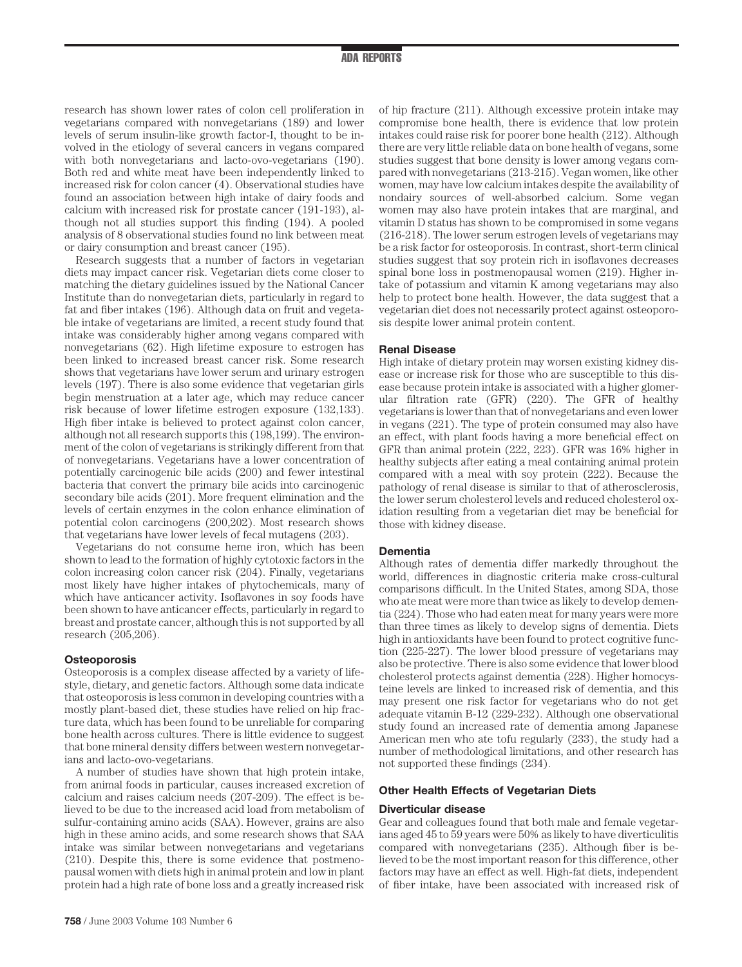research has shown lower rates of colon cell proliferation in vegetarians compared with nonvegetarians (189) and lower levels of serum insulin-like growth factor-I, thought to be involved in the etiology of several cancers in vegans compared with both nonvegetarians and lacto-ovo-vegetarians (190). Both red and white meat have been independently linked to increased risk for colon cancer (4). Observational studies have found an association between high intake of dairy foods and calcium with increased risk for prostate cancer (191-193), although not all studies support this finding (194). A pooled analysis of 8 observational studies found no link between meat or dairy consumption and breast cancer (195).

Research suggests that a number of factors in vegetarian diets may impact cancer risk. Vegetarian diets come closer to matching the dietary guidelines issued by the National Cancer Institute than do nonvegetarian diets, particularly in regard to fat and fiber intakes (196). Although data on fruit and vegetable intake of vegetarians are limited, a recent study found that intake was considerably higher among vegans compared with nonvegetarians (62). High lifetime exposure to estrogen has been linked to increased breast cancer risk. Some research shows that vegetarians have lower serum and urinary estrogen levels (197). There is also some evidence that vegetarian girls begin menstruation at a later age, which may reduce cancer risk because of lower lifetime estrogen exposure (132,133). High fiber intake is believed to protect against colon cancer, although not all research supports this (198,199). The environment of the colon of vegetarians is strikingly different from that of nonvegetarians. Vegetarians have a lower concentration of potentially carcinogenic bile acids (200) and fewer intestinal bacteria that convert the primary bile acids into carcinogenic secondary bile acids (201). More frequent elimination and the levels of certain enzymes in the colon enhance elimination of potential colon carcinogens (200,202). Most research shows that vegetarians have lower levels of fecal mutagens (203).

Vegetarians do not consume heme iron, which has been shown to lead to the formation of highly cytotoxic factors in the colon increasing colon cancer risk (204). Finally, vegetarians most likely have higher intakes of phytochemicals, many of which have anticancer activity. Isoflavones in soy foods have been shown to have anticancer effects, particularly in regard to breast and prostate cancer, although this is not supported by all research (205,206).

# **Osteoporosis**

Osteoporosis is a complex disease affected by a variety of lifestyle, dietary, and genetic factors. Although some data indicate that osteoporosis is less common in developing countries with a mostly plant-based diet, these studies have relied on hip fracture data, which has been found to be unreliable for comparing bone health across cultures. There is little evidence to suggest that bone mineral density differs between western nonvegetarians and lacto-ovo-vegetarians.

A number of studies have shown that high protein intake, from animal foods in particular, causes increased excretion of calcium and raises calcium needs (207-209). The effect is believed to be due to the increased acid load from metabolism of sulfur-containing amino acids (SAA). However, grains are also high in these amino acids, and some research shows that SAA intake was similar between nonvegetarians and vegetarians (210). Despite this, there is some evidence that postmenopausal women with diets high in animal protein and low in plant protein had a high rate of bone loss and a greatly increased risk

of hip fracture (211). Although excessive protein intake may compromise bone health, there is evidence that low protein intakes could raise risk for poorer bone health (212). Although there are very little reliable data on bone health of vegans, some studies suggest that bone density is lower among vegans compared with nonvegetarians (213-215). Vegan women, like other women, may have low calcium intakes despite the availability of nondairy sources of well-absorbed calcium. Some vegan women may also have protein intakes that are marginal, and vitamin D status has shown to be compromised in some vegans (216-218). The lower serum estrogen levels of vegetarians may be a risk factor for osteoporosis. In contrast, short-term clinical studies suggest that soy protein rich in isoflavones decreases spinal bone loss in postmenopausal women (219). Higher intake of potassium and vitamin K among vegetarians may also help to protect bone health. However, the data suggest that a vegetarian diet does not necessarily protect against osteoporosis despite lower animal protein content.

# **Renal Disease**

High intake of dietary protein may worsen existing kidney disease or increase risk for those who are susceptible to this disease because protein intake is associated with a higher glomerular filtration rate (GFR) (220). The GFR of healthy vegetarians is lower than that of nonvegetarians and even lower in vegans (221). The type of protein consumed may also have an effect, with plant foods having a more beneficial effect on GFR than animal protein (222, 223). GFR was 16% higher in healthy subjects after eating a meal containing animal protein compared with a meal with soy protein (222). Because the pathology of renal disease is similar to that of atherosclerosis, the lower serum cholesterol levels and reduced cholesterol oxidation resulting from a vegetarian diet may be beneficial for those with kidney disease.

# **Dementia**

Although rates of dementia differ markedly throughout the world, differences in diagnostic criteria make cross-cultural comparisons difficult. In the United States, among SDA, those who ate meat were more than twice as likely to develop dementia (224). Those who had eaten meat for many years were more than three times as likely to develop signs of dementia. Diets high in antioxidants have been found to protect cognitive function (225-227). The lower blood pressure of vegetarians may also be protective. There is also some evidence that lower blood cholesterol protects against dementia (228). Higher homocysteine levels are linked to increased risk of dementia, and this may present one risk factor for vegetarians who do not get adequate vitamin B-12 (229-232). Although one observational study found an increased rate of dementia among Japanese American men who ate tofu regularly (233), the study had a number of methodological limitations, and other research has not supported these findings (234).

# **Other Health Effects of Vegetarian Diets**

# **Diverticular disease**

Gear and colleagues found that both male and female vegetarians aged 45 to 59 years were 50% as likely to have diverticulitis compared with nonvegetarians (235). Although fiber is believed to be the most important reason for this difference, other factors may have an effect as well. High-fat diets, independent of fiber intake, have been associated with increased risk of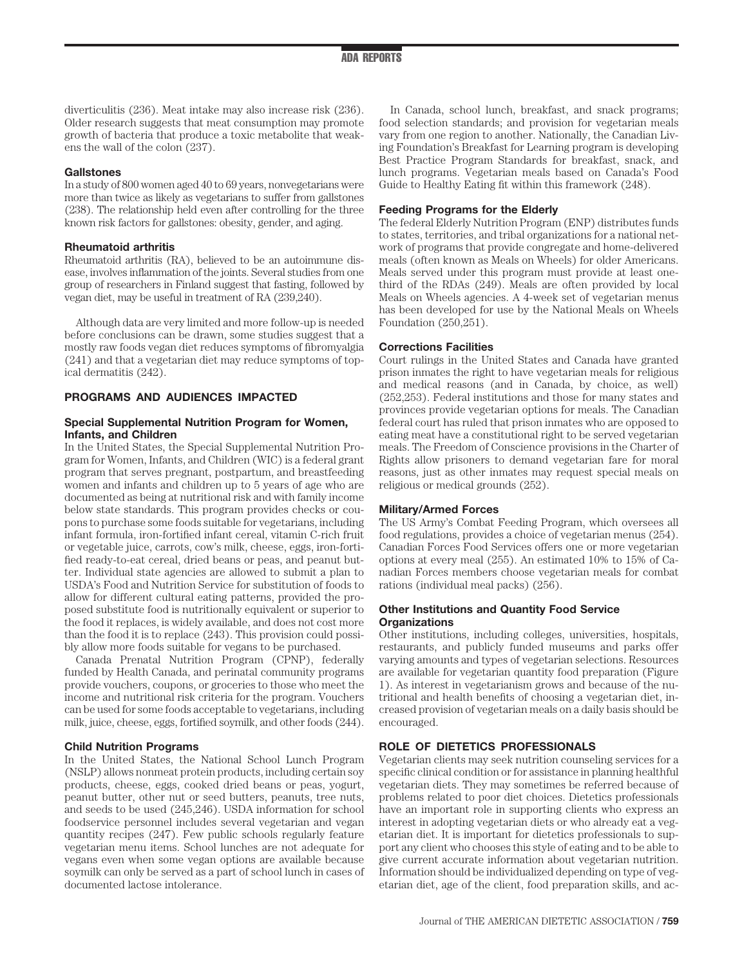diverticulitis (236). Meat intake may also increase risk (236). Older research suggests that meat consumption may promote growth of bacteria that produce a toxic metabolite that weakens the wall of the colon (237).

# **Gallstones**

In a study of 800 women aged 40 to 69 years, nonvegetarians were more than twice as likely as vegetarians to suffer from gallstones (238). The relationship held even after controlling for the three known risk factors for gallstones: obesity, gender, and aging.

# **Rheumatoid arthritis**

Rheumatoid arthritis (RA), believed to be an autoimmune disease, involves inflammation of the joints. Several studies from one group of researchers in Finland suggest that fasting, followed by vegan diet, may be useful in treatment of RA (239,240).

Although data are very limited and more follow-up is needed before conclusions can be drawn, some studies suggest that a mostly raw foods vegan diet reduces symptoms of fibromyalgia (241) and that a vegetarian diet may reduce symptoms of topical dermatitis (242).

# **PROGRAMS AND AUDIENCES IMPACTED**

# **Special Supplemental Nutrition Program for Women, Infants, and Children**

In the United States, the Special Supplemental Nutrition Program for Women, Infants, and Children (WIC) is a federal grant program that serves pregnant, postpartum, and breastfeeding women and infants and children up to 5 years of age who are documented as being at nutritional risk and with family income below state standards. This program provides checks or coupons to purchase some foods suitable for vegetarians, including infant formula, iron-fortified infant cereal, vitamin C-rich fruit or vegetable juice, carrots, cow's milk, cheese, eggs, iron-fortified ready-to-eat cereal, dried beans or peas, and peanut butter. Individual state agencies are allowed to submit a plan to USDA's Food and Nutrition Service for substitution of foods to allow for different cultural eating patterns, provided the proposed substitute food is nutritionally equivalent or superior to the food it replaces, is widely available, and does not cost more than the food it is to replace (243). This provision could possibly allow more foods suitable for vegans to be purchased.

Canada Prenatal Nutrition Program (CPNP), federally funded by Health Canada, and perinatal community programs provide vouchers, coupons, or groceries to those who meet the income and nutritional risk criteria for the program. Vouchers can be used for some foods acceptable to vegetarians, including milk, juice, cheese, eggs, fortified soymilk, and other foods (244).

# **Child Nutrition Programs**

In the United States, the National School Lunch Program (NSLP) allows nonmeat protein products, including certain soy products, cheese, eggs, cooked dried beans or peas, yogurt, peanut butter, other nut or seed butters, peanuts, tree nuts, and seeds to be used (245,246). USDA information for school foodservice personnel includes several vegetarian and vegan quantity recipes (247). Few public schools regularly feature vegetarian menu items. School lunches are not adequate for vegans even when some vegan options are available because soymilk can only be served as a part of school lunch in cases of documented lactose intolerance.

In Canada, school lunch, breakfast, and snack programs; food selection standards; and provision for vegetarian meals vary from one region to another. Nationally, the Canadian Living Foundation's Breakfast for Learning program is developing Best Practice Program Standards for breakfast, snack, and lunch programs. Vegetarian meals based on Canada's Food Guide to Healthy Eating fit within this framework (248).

# **Feeding Programs for the Elderly**

The federal Elderly Nutrition Program (ENP) distributes funds to states, territories, and tribal organizations for a national network of programs that provide congregate and home-delivered meals (often known as Meals on Wheels) for older Americans. Meals served under this program must provide at least onethird of the RDAs (249). Meals are often provided by local Meals on Wheels agencies. A 4-week set of vegetarian menus has been developed for use by the National Meals on Wheels Foundation (250,251).

# **Corrections Facilities**

Court rulings in the United States and Canada have granted prison inmates the right to have vegetarian meals for religious and medical reasons (and in Canada, by choice, as well) (252,253). Federal institutions and those for many states and provinces provide vegetarian options for meals. The Canadian federal court has ruled that prison inmates who are opposed to eating meat have a constitutional right to be served vegetarian meals. The Freedom of Conscience provisions in the Charter of Rights allow prisoners to demand vegetarian fare for moral reasons, just as other inmates may request special meals on religious or medical grounds (252).

# **Military/Armed Forces**

The US Army's Combat Feeding Program, which oversees all food regulations, provides a choice of vegetarian menus (254). Canadian Forces Food Services offers one or more vegetarian options at every meal (255). An estimated 10% to 15% of Canadian Forces members choose vegetarian meals for combat rations (individual meal packs) (256).

# **Other Institutions and Quantity Food Service Organizations**

Other institutions, including colleges, universities, hospitals, restaurants, and publicly funded museums and parks offer varying amounts and types of vegetarian selections. Resources are available for vegetarian quantity food preparation (Figure 1). As interest in vegetarianism grows and because of the nutritional and health benefits of choosing a vegetarian diet, increased provision of vegetarian meals on a daily basis should be encouraged.

# **ROLE OF DIETETICS PROFESSIONALS**

Vegetarian clients may seek nutrition counseling services for a specific clinical condition or for assistance in planning healthful vegetarian diets. They may sometimes be referred because of problems related to poor diet choices. Dietetics professionals have an important role in supporting clients who express an interest in adopting vegetarian diets or who already eat a vegetarian diet. It is important for dietetics professionals to support any client who chooses this style of eating and to be able to give current accurate information about vegetarian nutrition. Information should be individualized depending on type of vegetarian diet, age of the client, food preparation skills, and ac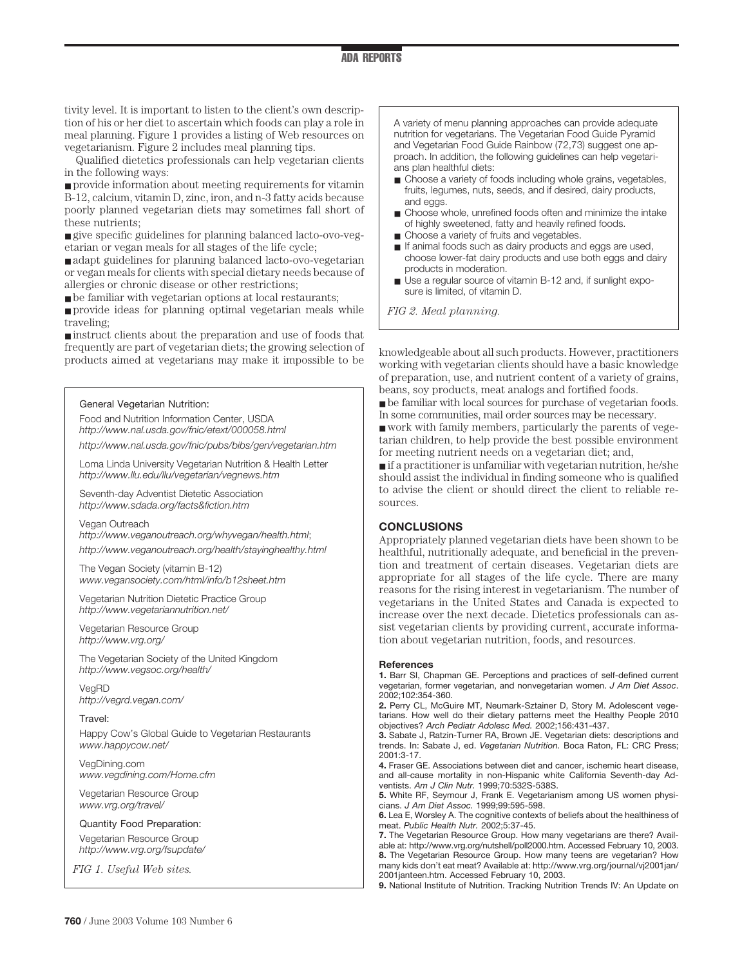tivity level. It is important to listen to the client's own description of his or her diet to ascertain which foods can play a role in meal planning. Figure 1 provides a listing of Web resources on vegetarianism. Figure 2 includes meal planning tips.

Qualified dietetics professionals can help vegetarian clients in the following ways:

 $\blacksquare$ <br/> provide information about meeting requirements for vitamin B-12, calcium, vitamin D, zinc, iron, and n-3 fatty acids because poorly planned vegetarian diets may sometimes fall short of these nutrients;

■ give specific guidelines for planning balanced lacto-ovo-vegetarian or vegan meals for all stages of the life cycle;

■ adapt guidelines for planning balanced lacto-ovo-vegetarian or vegan meals for clients with special dietary needs because of allergies or chronic disease or other restrictions;

■ be familiar with vegetarian options at local restaurants;

■ provide ideas for planning optimal vegetarian meals while traveling;

■ instruct clients about the preparation and use of foods that frequently are part of vegetarian diets; the growing selection of products aimed at vegetarians may make it impossible to be knowledgeable about all such products. However, practitioners

## General Vegetarian Nutrition:

Food and Nutrition Information Center, USDA *http://www.nal.usda.gov/fnic/etext/000058.html*

*http://www.nal.usda.gov/fnic/pubs/bibs/gen/vegetarian.htm*

Loma Linda University Vegetarian Nutrition & Health Letter *http://www.llu.edu/llu/vegetarian/vegnews.htm*

Seventh-day Adventist Dietetic Association *http://www.sdada.org/facts&fiction.htm*

Vegan Outreach

*http://www.veganoutreach.org/whyvegan/health.html*; *http://www.veganoutreach.org/health/stayinghealthy.html*

The Vegan Society (vitamin B-12) *www.vegansociety.com/html/info/b12sheet.htm*

Vegetarian Nutrition Dietetic Practice Group *http://www.vegetariannutrition.net/*

Vegetarian Resource Group *http://www.vrg.org/*

The Vegetarian Society of the United Kingdom *http://www.vegsoc.org/health/*

**VegRD** *http://vegrd.vegan.com/*

# Travel:

Happy Cow's Global Guide to Vegetarian Restaurants *www.happycow.net/*

VegDining.com *www.vegdining.com/Home.cfm*

Vegetarian Resource Group *www.vrg.org/travel/*

Quantity Food Preparation: Vegetarian Resource Group

*http://www.vrg.org/fsupdate/*

*FIG 1. Useful Web sites.*

A variety of menu planning approaches can provide adequate nutrition for vegetarians. The Vegetarian Food Guide Pyramid and Vegetarian Food Guide Rainbow (72,73) suggest one approach. In addition, the following guidelines can help vegetarians plan healthful diets:

- Choose a variety of foods including whole grains, vegetables, fruits, legumes, nuts, seeds, and if desired, dairy products, and eggs.
- Choose whole, unrefined foods often and minimize the intake of highly sweetened, fatty and heavily refined foods.
- Choose a variety of fruits and vegetables.
- If animal foods such as dairy products and eggs are used, choose lower-fat dairy products and use both eggs and dairy products in moderation.
- Use a regular source of vitamin B-12 and, if sunlight exposure is limited, of vitamin D.

*FIG 2. Meal planning.*

working with vegetarian clients should have a basic knowledge of preparation, use, and nutrient content of a variety of grains, beans, soy products, meat analogs and fortified foods.

■ be familiar with local sources for purchase of vegetarian foods. In some communities, mail order sources may be necessary.

■ work with family members, particularly the parents of vegetarian children, to help provide the best possible environment for meeting nutrient needs on a vegetarian diet; and,

■ if a practitioner is unfamiliar with vegetarian nutrition, he/she should assist the individual in finding someone who is qualified to advise the client or should direct the client to reliable resources.

# **CONCLUSIONS**

Appropriately planned vegetarian diets have been shown to be healthful, nutritionally adequate, and beneficial in the prevention and treatment of certain diseases. Vegetarian diets are appropriate for all stages of the life cycle. There are many reasons for the rising interest in vegetarianism. The number of vegetarians in the United States and Canada is expected to increase over the next decade. Dietetics professionals can assist vegetarian clients by providing current, accurate information about vegetarian nutrition, foods, and resources.

# **References**

**1.** Barr SI, Chapman GE. Perceptions and practices of self-defined current vegetarian, former vegetarian, and nonvegetarian women. *J Am Diet Assoc*. 2002;102:354-360.

**2.** Perry CL, McGuire MT, Neumark-Sztainer D, Story M. Adolescent vegetarians. How well do their dietary patterns meet the Healthy People 2010 objectives? *Arch Pediatr Adolesc Med.* 2002;156:431-437.

**3.** Sabate J, Ratzin-Turner RA, Brown JE. Vegetarian diets: descriptions and trends. In: Sabate J, ed. *Vegetarian Nutrition.* Boca Raton, FL: CRC Press; 2001:3-17.

**4.** Fraser GE. Associations between diet and cancer, ischemic heart disease, and all-cause mortality in non-Hispanic white California Seventh-day Adventists. *Am J Clin Nutr.* 1999;70:532S-538S.

**5.** White RF, Seymour J, Frank E. Vegetarianism among US women physicians. *J Am Diet Assoc.* 1999;99:595-598.

**6.** Lea E, Worsley A. The cognitive contexts of beliefs about the healthiness of meat. *Public Health Nutr.* 2002;5:37-45.

**7.** The Vegetarian Resource Group. How many vegetarians are there? Available at: http://www.vrg.org/nutshell/poll2000.htm. Accessed February 10, 2003. **8.** The Vegetarian Resource Group. How many teens are vegetarian? How many kids don't eat meat? Available at: http://www.vrg.org/journal/vj2001jan/ 2001janteen.htm. Accessed February 10, 2003.

**9.** National Institute of Nutrition. Tracking Nutrition Trends IV: An Update on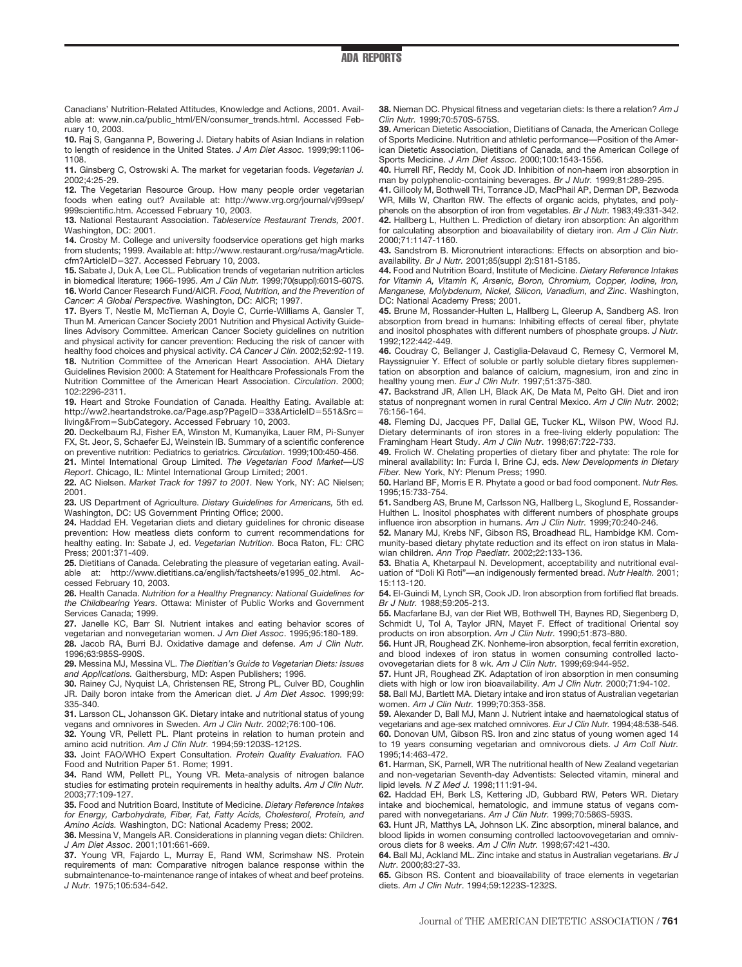ADA REPORTS

Canadians' Nutrition-Related Attitudes, Knowledge and Actions, 2001. Available at: www.nin.ca/public\_html/EN/consumer\_trends.html. Accessed February 10, 2003.

**10.** Raj S, Ganganna P, Bowering J. Dietary habits of Asian Indians in relation to length of residence in the United States. *J Am Diet Assoc.* 1999;99:1106- 1108.

**11.** Ginsberg C, Ostrowski A. The market for vegetarian foods. *Vegetarian J.* 2002;4:25-29.

**12.** The Vegetarian Resource Group. How many people order vegetarian foods when eating out? Available at: http://www.vrg.org/journal/vj99sep/ 999scientific.htm. Accessed February 10, 2003.

**13.** National Restaurant Association. *Tableservice Restaurant Trends, 2001*. Washington, DC: 2001.

**14.** Crosby M. College and university foodservice operations get high marks from students; 1999. Available at: http://www.restaurant.org/rusa/magArticle. cfm?ArticleID=327. Accessed February 10, 2003.

**15.** Sabate J, Duk A, Lee CL. Publication trends of vegetarian nutrition articles in biomedical literature; 1966-1995. *Am J Clin Nutr.* 1999;70(suppl):601S-607S. **16.** World Cancer Research Fund/AICR. *Food, Nutrition, and the Prevention of Cancer: A Global Perspective.* Washington, DC: AICR; 1997.

**17.** Byers T, Nestle M, McTiernan A, Doyle C, Currie-Williams A, Gansler T, Thun M. American Cancer Society 2001 Nutrition and Physical Activity Guidelines Advisory Committee. American Cancer Society guidelines on nutrition and physical activity for cancer prevention: Reducing the risk of cancer with healthy food choices and physical activity. *CA Cancer J Clin.* 2002;52:92-119. **18.** Nutrition Committee of the American Heart Association. AHA Dietary Guidelines Revision 2000: A Statement for Healthcare Professionals From the Nutrition Committee of the American Heart Association. *Circulation*. 2000; 102:2296-2311.

**19.** Heart and Stroke Foundation of Canada. Healthy Eating. Available at: http://ww2.heartandstroke.ca/Page.asp?PageID=33&ArticleID=551&Src= living&From=SubCategory. Accessed February 10, 2003.

**20.** Deckelbaum RJ, Fisher EA, Winston M, Kumanyika, Lauer RM, Pi-Sunyer FX, St. Jeor, S, Schaefer EJ, Weinstein IB. Summary of a scientific conference on preventive nutrition: Pediatrics to geriatrics. *Circulation*. 1999;100:450-456.

**21.** Mintel International Group Limited. *The Vegetarian Food Market*—*US Report*. Chicago, IL: Mintel International Group Limited; 2001.

**22.** AC Nielsen. *Market Track for 1997 to 2001.* New York, NY: AC Nielsen; 2001.

**23.** US Department of Agriculture. *Dietary Guidelines for Americans,* 5th ed*.* Washington, DC: US Government Printing Office; 2000.

**24.** Haddad EH. Vegetarian diets and dietary guidelines for chronic disease prevention: How meatless diets conform to current recommendations for healthy eating. In: Sabate J, ed. *Vegetarian Nutrition.* Boca Raton, FL: CRC Press; 2001:371-409.

**25.** Dietitians of Canada. Celebrating the pleasure of vegetarian eating. Available at: http://www.dietitians.ca/english/factsheets/e1995\_02.html. Accessed February 10, 2003.

**26.** Health Canada. *Nutrition for a Healthy Pregnancy: National Guidelines for the Childbearing Years*. Ottawa: Minister of Public Works and Government Services Canada; 1999.

**27.** Janelle KC, Barr SI. Nutrient intakes and eating behavior scores of vegetarian and nonvegetarian women. *J Am Diet Assoc*. 1995;95:180-189.

**28.** Jacob RA, Burri BJ. Oxidative damage and defense. *Am J Clin Nutr.* 1996;63:985S-990S.

**29.** Messina MJ, Messina VL. *The Dietitian's Guide to Vegetarian Diets: Issues and Applications.* Gaithersburg, MD: Aspen Publishers; 1996.

**30.** Rainey CJ, Nyquist LA, Christensen RE, Strong PL, Culver BD, Coughlin JR. Daily boron intake from the American diet. *J Am Diet Assoc.* 1999;99: 335-340.

**31.** Larsson CL, Johansson GK. Dietary intake and nutritional status of young vegans and omnivores in Sweden. *Am J Clin Nutr.* 2002;76:100-106.

**32.** Young VR, Pellett PL. Plant proteins in relation to human protein and amino acid nutrition. *Am J Clin Nutr.* 1994;59:1203S-1212S.

**33.** Joint FAO/WHO Expert Consultation. *Protein Quality Evaluation.* FAO Food and Nutrition Paper 51. Rome; 1991.

**34.** Rand WM, Pellett PL, Young VR. Meta-analysis of nitrogen balance studies for estimating protein requirements in healthy adults. *Am J Clin Nutr.* 2003;77:109-127.

**35.** Food and Nutrition Board, Institute of Medicine. *Dietary Reference Intakes for Energy, Carbohydrate, Fiber, Fat, Fatty Acids, Cholesterol, Protein, and Amino Acids.* Washington, DC: National Academy Press; 2002.

**36.** Messina V, Mangels AR. Considerations in planning vegan diets: Children. *J Am Diet Assoc*. 2001;101:661-669.

**37.** Young VR, Fajardo L, Murray E, Rand WM, Scrimshaw NS. Protein requirements of man: Comparative nitrogen balance response within the submaintenance-to-maintenance range of intakes of wheat and beef proteins. *J Nutr.* 1975;105:534-542.

**38.** Nieman DC. Physical fitness and vegetarian diets: Is there a relation? *Am J Clin Nutr.* 1999;70:570S-575S.

**39.** American Dietetic Association, Dietitians of Canada, the American College of Sports Medicine. Nutrition and athletic performance—Position of the American Dietetic Association, Dietitians of Canada, and the American College of Sports Medicine. *J Am Diet Assoc.* 2000;100:1543-1556.

**40.** Hurrell RF, Reddy M, Cook JD. Inhibition of non-haem iron absorption in man by polyphenolic-containing beverages. *Br J Nutr.* 1999;81:289-295.

**41.** Gillooly M, Bothwell TH, Torrance JD, MacPhail AP, Derman DP, Bezwoda WR, Mills W, Charlton RW. The effects of organic acids, phytates, and polyphenols on the absorption of iron from vegetables. *Br J Nutr.* 1983;49:331-342. **42.** Hallberg L, Hulthen L. Prediction of dietary iron absorption: An algorithm for calculating absorption and bioavailability of dietary iron. *Am J Clin Nutr.* 2000;71:1147-1160.

**43.** Sandstrom B. Micronutrient interactions: Effects on absorption and bioavailability. *Br J Nutr.* 2001;85(suppl 2):S181-S185.

**44.** Food and Nutrition Board, Institute of Medicine. *Dietary Reference Intakes for Vitamin A, Vitamin K, Arsenic, Boron, Chromium, Copper, Iodine, Iron, Manganese, Molybdenum, Nickel, Silicon, Vanadium, and Zinc*. Washington, DC: National Academy Press; 2001.

**45.** Brune M, Rossander-Hulten L, Hallberg L, Gleerup A, Sandberg AS. Iron absorption from bread in humans: Inhibiting effects of cereal fiber, phytate and inositol phosphates with different numbers of phosphate groups. *J Nutr.* 1992;122:442-449.

**46.** Coudray C, Bellanger J, Castiglia-Delavaud C, Remesy C, Vermorel M, Rayssignuier Y. Effect of soluble or partly soluble dietary fibres supplementation on absorption and balance of calcium, magnesium, iron and zinc in healthy young men. *Eur J Clin Nutr.* 1997;51:375-380.

**47.** Backstrand JR, Allen LH, Black AK, De Mata M, Pelto GH. Diet and iron status of nonpregnant women in rural Central Mexico. *Am J Clin Nutr.* 2002; 76:156-164.

**48.** Fleming DJ, Jacques PF, Dallal GE, Tucker KL, Wilson PW, Wood RJ. Dietary determinants of iron stores in a free-living elderly population: The Framingham Heart Study. *Am J Clin Nutr*. 1998;67:722-733.

**49.** Frolich W. Chelating properties of dietary fiber and phytate: The role for mineral availability: In: Furda I, Brine CJ, eds. *New Developments in Dietary Fiber.* New York, NY: Plenum Press; 1990.

**50.** Harland BF, Morris E R. Phytate a good or bad food component. *Nutr Res.* 1995;15:733-754.

**51.** Sandberg AS, Brune M, Carlsson NG, Hallberg L, Skoglund E, Rossander-Hulthen L. Inositol phosphates with different numbers of phosphate groups influence iron absorption in humans. *Am J Clin Nutr.* 1999;70:240-246.

**52.** Manary MJ, Krebs NF, Gibson RS, Broadhead RL, Hambidge KM. Community-based dietary phytate reduction and its effect on iron status in Malawian children. *Ann Trop Paediatr.* 2002;22:133-136.

**53.** Bhatia A, Khetarpaul N. Development, acceptability and nutritional evaluation of "Doli Ki Roti"—an indigenously fermented bread. *Nutr Health.* 2001; 15:113-120.

**54.** El-Guindi M, Lynch SR, Cook JD. Iron absorption from fortified flat breads. *Br J Nutr.* 1988;59:205-213.

**55.** Macfarlane BJ, van der Riet WB, Bothwell TH, Baynes RD, Siegenberg D, Schmidt U, Tol A, Taylor JRN, Mayet F. Effect of traditional Oriental soy products on iron absorption. *Am J Clin Nutr.* 1990;51:873-880.

**56.** Hunt JR, Roughead ZK. Nonheme-iron absorption, fecal ferritin excretion, and blood indexes of iron status in women consuming controlled lactoovovegetarian diets for 8 wk. *Am J Clin Nutr.* 1999;69:944-952.

**57.** Hunt JR, Roughead ZK. Adaptation of iron absorption in men consuming diets with high or low iron bioavailability. *Am J Clin Nutr.* 2000;71:94-102.

**58.** Ball MJ, Bartlett MA. Dietary intake and iron status of Australian vegetarian women. *Am J Clin Nutr.* 1999;70:353-358.

**59.** Alexander D, Ball MJ, Mann J. Nutrient intake and haematological status of vegetarians and age-sex matched omnivores. *Eur J Clin Nutr.* 1994;48:538-546. **60.** Donovan UM, Gibson RS. Iron and zinc status of young women aged 14 to 19 years consuming vegetarian and omnivorous diets. *J Am Coll Nutr.*

1995;14:463-472. **61.** Harman, SK, Parnell, WR The nutritional health of New Zealand vegetarian and non-vegetarian Seventh-day Adventists: Selected vitamin, mineral and lipid levels*. N Z Med J.* 1998;111:91-94.

**62.** Haddad EH, Berk LS, Kettering JD, Gubbard RW, Peters WR. Dietary intake and biochemical, hematologic, and immune status of vegans compared with nonvegetarians. *Am J Clin Nutr.* 1999;70:586S-593S.

**63.** Hunt JR, Matthys LA, Johnson LK. Zinc absorption, mineral balance, and blood lipids in women consuming controlled lactoovovegetarian and omnivorous diets for 8 weeks. *Am J Clin Nutr.* 1998;67:421-430.

**64.** Ball MJ, Ackland ML. Zinc intake and status in Australian vegetarians. *Br J Nutr*. 2000;83:27-33.

**65.** Gibson RS. Content and bioavailability of trace elements in vegetarian diets. *Am J Clin Nutr*. 1994;59:1223S-1232S.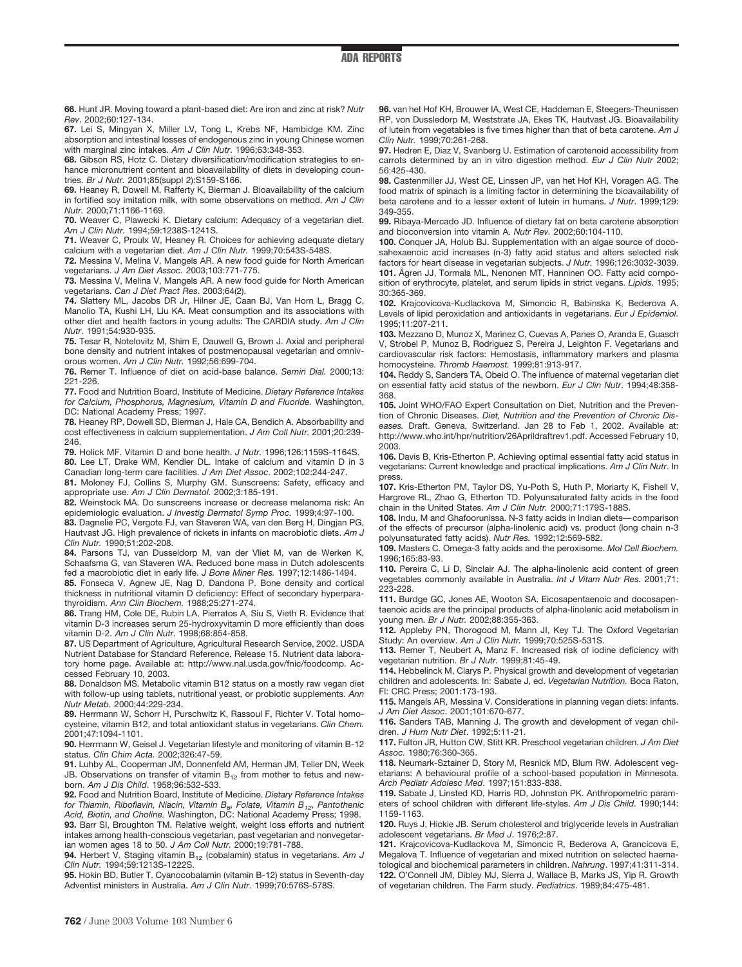**66.** Hunt JR. Moving toward a plant-based diet: Are iron and zinc at risk? *Nutr Rev*. 2002;60:127-134.

**67.** Lei S, Mingyan X, Miller LV, Tong L, Krebs NF, Hambidge KM. Zinc absorption and intestinal losses of endogenous zinc in young Chinese women with marginal zinc intakes. *Am J Clin Nutr*. 1996;63:348-353.

**68.** Gibson RS, Hotz C. Dietary diversification/modification strategies to enhance micronutrient content and bioavailability of diets in developing countries. *Br J Nutr.* 2001;85(suppl 2):S159-S166.

**69.** Heaney R, Dowell M, Rafferty K, Bierman J. Bioavailability of the calcium in fortified soy imitation milk, with some observations on method. *Am J Clin Nutr.* 2000;71:1166-1169.

**70.** Weaver C, Plawecki K. Dietary calcium: Adequacy of a vegetarian diet. *Am J Clin Nutr.* 1994;59:1238S-1241S.

**71.** Weaver C, Proulx W, Heaney R. Choices for achieving adequate dietary calcium with a vegetarian diet. *Am J Clin Nutr.* 1999;70:543S-548S.

**72.** Messina V, Melina V, Mangels AR. A new food guide for North American vegetarians. *J Am Diet Assoc.* 2003;103:771-775.

**73.** Messina V, Melina V, Mangels AR. A new food guide for North American vegetarians. *Can J Diet Pract Res*. 2003;64(2).

**74.** Slattery ML, Jacobs DR Jr, Hilner JE, Caan BJ, Van Horn L, Bragg C, Manolio TA, Kushi LH, Liu KA. Meat consumption and its associations with other diet and health factors in young adults: The CARDIA study. *Am J Clin Nutr*. 1991;54:930-935.

**75.** Tesar R, Notelovitz M, Shim E, Dauwell G, Brown J. Axial and peripheral bone density and nutrient intakes of postmenopausal vegetarian and omnivorous women. *Am J Clin Nutr.* 1992;56:699-704.

**76.** Remer T. Influence of diet on acid-base balance. *Semin Dial.* 2000;13: 221-226.

**77.** Food and Nutrition Board, Institute of Medicine. *Dietary Reference Intakes for Calcium, Phosphorus, Magnesium, Vitamin D and Fluoride.* Washington, DC: National Academy Press; 1997.

**78.** Heaney RP, Dowell SD, Bierman J, Hale CA, Bendich A. Absorbability and cost effectiveness in calcium supplementation. *J Am Coll Nutr.* 2001;20:239- 246.

**79.** Holick MF. Vitamin D and bone health. *J Nutr.* 1996;126:1159S-1164S. **80.** Lee LT, Drake WM, Kendler DL. Intake of calcium and vitamin D in 3

Canadian long-term care facilities. *J Am Diet Assoc*. 2002;102:244-247. **81.** Moloney FJ, Collins S, Murphy GM. Sunscreens: Safety, efficacy and

appropriate use. *Am J Clin Dermatol.* 2002;3:185-191. **82.** Weinstock MA. Do sunscreens increase or decrease melanoma risk: An

epidemiologic evaluation. *J Investig Dermatol Symp Proc.* 1999;4:97-100.

**83.** Dagnelie PC, Vergote FJ, van Staveren WA, van den Berg H, Dingjan PG, Hautvast JG. High prevalence of rickets in infants on macrobiotic diets. *Am J Clin Nutr.* 1990;51:202-208.

**84.** Parsons TJ, van Dusseldorp M, van der Vliet M, van de Werken K, Schaafsma G, van Staveren WA. Reduced bone mass in Dutch adolescents fed a macrobiotic diet in early life. *J Bone Miner Res.* 1997;12:1486-1494.

**85.** Fonseca V, Agnew JE, Nag D, Dandona P. Bone density and cortical thickness in nutritional vitamin D deficiency: Effect of secondary hyperparathyroidism. *Ann Clin Biochem.* 1988;25:271-274.

**86.** Trang HM, Cole DE, Rubin LA, Pierratos A, Siu S, Vieth R. Evidence that vitamin D-3 increases serum 25-hydroxyvitamin D more efficiently than does vitamin D-2. *Am J Clin Nutr.* 1998;68:854-858.

**87.** US Department of Agriculture, Agricultural Research Service, 2002. USDA Nutrient Database for Standard Reference, Release 15. Nutrient data laboratory home page. Available at: http://www.nal.usda.gov/fnic/foodcomp. Accessed February 10, 2003.

**88.** Donaldson MS. Metabolic vitamin B12 status on a mostly raw vegan diet with follow-up using tablets, nutritional yeast, or probiotic supplements. *Ann Nutr Metab.* 2000;44:229-234.

**89.** Herrmann W, Schorr H, Purschwitz K, Rassoul F, Richter V. Total homocysteine, vitamin B12, and total antioxidant status in vegetarians. *Clin Chem.* 2001;47:1094-1101.

**90.** Herrmann W, Geisel J. Vegetarian lifestyle and monitoring of vitamin B-12 status. *Clin Chim Acta.* 2002;326:47-59.

**91.** Luhby AL, Cooperman JM, Donnenfeld AM, Herman JM, Teller DN, Week JB. Observations on transfer of vitamin  $B_{12}$  from mother to fetus and newborn. *Am J Dis Child*. 1958;96:532-533.

**92.** Food and Nutrition Board, Institute of Medicine. *Dietary Reference Intakes for Thiamin, Riboflavin, Niacin, Vitamin B6, Folate, Vitamin B12, Pantothenic Acid, Biotin, and Choline.* Washington, DC: National Academy Press; 1998.

**93.** Barr SI, Broughton TM. Relative weight, weight loss efforts and nutrient intakes among health-conscious vegetarian, past vegetarian and nonvegetarian women ages 18 to 50. *J Am Coll Nutr.* 2000;19:781-788.

**94.** Herbert V. Staging vitamin B<sub>12</sub> (cobalamin) status in vegetarians. Am J *Clin Nutr.* 1994;59:1213S-1222S.

**95.** Hokin BD, Butler T. Cyanocobalamin (vitamin B-12) status in Seventh-day Adventist ministers in Australia. *Am J Clin Nutr*. 1999;70:576S-578S.

**96.** van het Hof KH, Brouwer IA, West CE, Haddeman E, Steegers-Theunissen RP, von Dussledorp M, Weststrate JA, Ekes TK, Hautvast JG. Bioavailability of lutein from vegetables is five times higher than that of beta carotene. *Am J Clin Nutr.* 1999;70:261-268.

**97.** Hedren E, Diaz V, Svanberg U. Estimation of carotenoid accessibility from carrots determined by an in vitro digestion method. *Eur J Clin Nutr* 2002; 56:425-430.

**98.** Castenmiller JJ, West CE, Linssen JP, van het Hof KH, Voragen AG. The food matrix of spinach is a limiting factor in determining the bioavailability of beta carotene and to a lesser extent of lutein in humans. *J Nutr*. 1999;129: 349-355.

**99.** Ribaya-Mercado JD. Influence of dietary fat on beta carotene absorption and bioconversion into vitamin A. *Nutr Rev.* 2002;60:104-110.

**100.** Conquer JA, Holub BJ. Supplementation with an algae source of docosahexaenoic acid increases (n-3) fatty acid status and alters selected risk factors for heart disease in vegetarian subjects. *J Nutr.* 1996;126:3032-3039. **101.** Ågren JJ, Tormala ML, Nenonen MT, Hanninen OO. Fatty acid composition of erythrocyte, platelet, and serum lipids in strict vegans. *Lipids.* 1995; 30:365-369.

**102.** Krajcovicova-Kudlackova M, Simoncic R, Babinska K, Bederova A. Levels of lipid peroxidation and antioxidants in vegetarians. *Eur J Epidemiol.* 1995;11:207-211.

**103.** Mezzano D, Munoz X, Marinez C, Cuevas A, Panes O, Aranda E, Guasch V, Strobel P, Munoz B, Rodriguez S, Pereira J, Leighton F. Vegetarians and cardiovascular risk factors: Hemostasis, inflammatory markers and plasma homocysteine. *Thromb Haemost.* 1999;81:913-917.

**104.** Reddy S, Sanders TA, Obeid O. The influence of maternal vegetarian diet on essential fatty acid status of the newborn. *Eur J Clin Nutr*. 1994;48:358- 368.

**105.** Joint WHO/FAO Expert Consultation on Diet, Nutrition and the Prevention of Chronic Diseases. *Diet, Nutrition and the Prevention of Chronic Diseases.* Draft. Geneva, Switzerland. Jan 28 to Feb 1, 2002. Available at: http://www.who.int/hpr/nutrition/26Aprildraftrev1.pdf. Accessed February 10, 2003.

**106.** Davis B, Kris-Etherton P. Achieving optimal essential fatty acid status in vegetarians: Current knowledge and practical implications. *Am J Clin Nutr*. In press.

**107.** Kris-Etherton PM, Taylor DS, Yu-Poth S, Huth P, Moriarty K, Fishell V, Hargrove RL, Zhao G, Etherton TD. Polyunsaturated fatty acids in the food chain in the United States. *Am J Clin Nutr.* 2000;71:179S-188S.

**108.** Indu, M and Ghafoorunissa. N-3 fatty acids in Indian diets—comparison of the effects of precursor (alpha-linolenic acid) vs. product (long chain n-3 polyunsaturated fatty acids). *Nutr Res.* 1992;12:569-582.

**109.** Masters C. Omega-3 fatty acids and the peroxisome. *Mol Cell Biochem.* 1996;165:83-93.

**110.** Pereira C, Li D, Sinclair AJ. The alpha-linolenic acid content of green vegetables commonly available in Australia. *Int J Vitam Nutr Res.* 2001;71: 223-228.

**111.** Burdge GC, Jones AE, Wooton SA. Eicosapentaenoic and docosapentaenoic acids are the principal products of alpha-linolenic acid metabolism in young men. *Br J Nutr.* 2002;88:355-363.

**112.** Appleby PN, Thorogood M, Mann JI, Key TJ. The Oxford Vegetarian Study: An overview. *Am J Clin Nutr.* 1999;70:525S-531S.

**113.** Remer T, Neubert A, Manz F. Increased risk of iodine deficiency with vegetarian nutrition. *Br J Nutr.* 1999;81:45-49.

**114.** Hebbelinck M, Clarys P. Physical growth and development of vegetarian children and adolescents. In: Sabate J, ed. *Vegetarian Nutrition.* Boca Raton, Fl: CRC Press; 2001:173-193.

**115.** Mangels AR, Messina V. Considerations in planning vegan diets: infants. *J Am Diet Assoc*. 2001;101:670-677.

**116.** Sanders TAB, Manning J. The growth and development of vegan children. *J Hum Nutr Diet*. 1992;5:11-21.

**117.** Fulton JR, Hutton CW, Stitt KR. Preschool vegetarian children. *J Am Diet Assoc.* 1980;76:360-365.

**118.** Neumark-Sztainer D, Story M, Resnick MD, Blum RW. Adolescent vegetarians: A behavioural profile of a school-based population in Minnesota. *Arch Pediatr Adolesc Med*. 1997;151:833-838.

**119.** Sabate J, Linsted KD, Harris RD, Johnston PK. Anthropometric parameters of school children with different life-styles. *Am J Dis Child.* 1990;144: 1159-1163.

**120.** Ruys J, Hickie JB. Serum cholesterol and triglyceride levels in Australian adolescent vegetarians. *Br Med J*. 1976;2:87.

**121.** Krajcovicova-Kudlackova M, Simoncic R, Bederova A, Grancicova E, Megalova T. Influence of vegetarian and mixed nutrition on selected haematological and biochemical parameters in children. *Nahrung*. 1997;41:311-314. **122.** O'Connell JM, Dibley MJ, Sierra J, Wallace B, Marks JS, Yip R. Growth of vegetarian children. The Farm study. *Pediatrics*. 1989;84:475-481.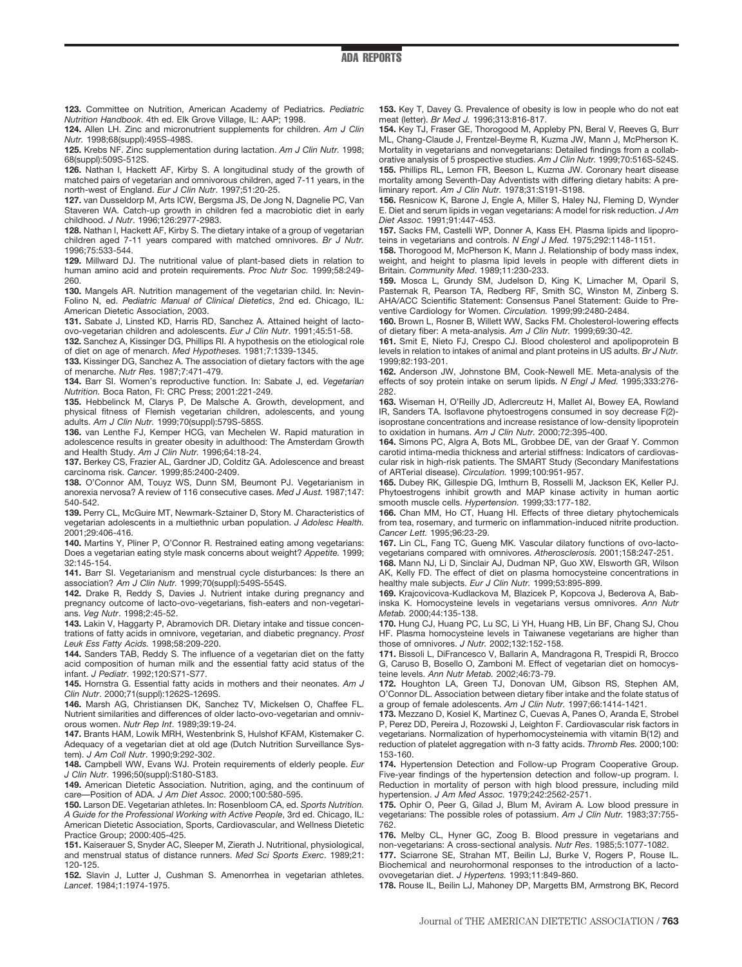**123.** Committee on Nutrition, American Academy of Pediatrics. *Pediatric Nutrition Handbook*. 4th ed. Elk Grove Village, IL: AAP; 1998.

**124.** Allen LH. Zinc and micronutrient supplements for children. *Am J Clin Nutr.* 1998;68(suppl):495S-498S.

**125.** Krebs NF. Zinc supplementation during lactation. *Am J Clin Nutr.* 1998; 68(suppl):509S-512S.

**126.** Nathan I, Hackett AF, Kirby S. A longitudinal study of the growth of matched pairs of vegetarian and omnivorous children, aged 7-11 years, in the north-west of England. *Eur J Clin Nutr*. 1997;51:20-25.

**127.** van Dusseldorp M, Arts ICW, Bergsma JS, De Jong N, Dagnelie PC, Van Staveren WA. Catch-up growth in children fed a macrobiotic diet in early childhood. *J Nutr*. 1996;126:2977-2983.

**128.** Nathan I, Hackett AF, Kirby S. The dietary intake of a group of vegetarian children aged 7-11 years compared with matched omnivores. *Br J Nutr.* 1996;75:533-544.

**129.** Millward DJ. The nutritional value of plant-based diets in relation to human amino acid and protein requirements. *Proc Nutr Soc.* 1999;58:249- 260.

**130.** Mangels AR. Nutrition management of the vegetarian child. In: Nevin-Folino N, ed. *Pediatric Manual of Clinical Dietetics*, 2nd ed. Chicago, IL: American Dietetic Association, 2003.

**131.** Sabate J, Linsted KD, Harris RD, Sanchez A. Attained height of lactoovo-vegetarian children and adolescents. *Eur J Clin Nutr*. 1991;45:51-58.

**132.** Sanchez A, Kissinger DG, Phillips RI. A hypothesis on the etiological role of diet on age of menarch. *Med Hypotheses.* 1981;7:1339-1345.

**133.** Kissinger DG, Sanchez A. The association of dietary factors with the age of menarche. *Nutr Res.* 1987;7:471-479.

**134.** Barr SI. Women's reproductive function. In: Sabate J, ed. *Vegetarian Nutrition.* Boca Raton, Fl: CRC Press; 2001:221-249.

**135.** Hebbelinck M, Clarys P, De Malsche A. Growth, development, and physical fitness of Flemish vegetarian children, adolescents, and young adults. *Am J Clin Nutr.* 1999;70(suppl):579S-585S.

**136.** van Lenthe FJ, Kemper HCG, van Mechelen W. Rapid maturation in adolescence results in greater obesity in adulthood: The Amsterdam Growth and Health Study. *Am J Clin Nutr.* 1996;64:18-24.

**137.** Berkey CS, Frazier AL, Gardner JD, Colditz GA. Adolescence and breast carcinoma risk. *Cancer.* 1999;85:2400-2409.

**138.** O'Connor AM, Touyz WS, Dunn SM, Beumont PJ. Vegetarianism in anorexia nervosa? A review of 116 consecutive cases. *Med J Aust.* 1987;147: 540-542.

**139.** Perry CL, McGuire MT, Newmark-Sztainer D, Story M. Characteristics of vegetarian adolescents in a multiethnic urban population. *J Adolesc Health.* 2001;29:406-416.

**140.** Martins Y, Pliner P, O'Connor R. Restrained eating among vegetarians: Does a vegetarian eating style mask concerns about weight? *Appetite.* 1999; 32:145-154.

**141.** Barr SI. Vegetarianism and menstrual cycle disturbances: Is there an association? *Am J Clin Nutr.* 1999;70(suppl):549S-554S.

**142.** Drake R, Reddy S, Davies J. Nutrient intake during pregnancy and pregnancy outcome of lacto-ovo-vegetarians, fish-eaters and non-vegetarians. *Veg Nutr*. 1998;2:45-52.

**143.** Lakin V, Haggarty P, Abramovich DR. Dietary intake and tissue concentrations of fatty acids in omnivore, vegetarian, and diabetic pregnancy. *Prost Leuk Ess Fatty Acids.* 1998;58:209-220.

**144.** Sanders TAB, Reddy S. The influence of a vegetarian diet on the fatty acid composition of human milk and the essential fatty acid status of the infant. *J Pediatr*. 1992;120:S71-S77.

**145.** Hornstra G. Essential fatty acids in mothers and their neonates. *Am J Clin Nutr*. 2000;71(suppl):1262S-1269S.

**146.** Marsh AG, Christiansen DK, Sanchez TV, Mickelsen O, Chaffee FL. Nutrient similarities and differences of older lacto-ovo-vegetarian and omnivorous women. *Nutr Rep Int*. 1989;39:19-24.

**147.** Brants HAM, Lowik MRH, Westenbrink S, Hulshof KFAM, Kistemaker C. Adequacy of a vegetarian diet at old age (Dutch Nutrition Surveillance System). *J Am Coll Nutr*. 1990;9:292-302.

**148.** Campbell WW, Evans WJ. Protein requirements of elderly people. *Eur J Clin Nutr*. 1996;50(suppl):S180-S183.

**149.** American Dietetic Association. Nutrition, aging, and the continuum of care—Position of ADA. *J Am Diet Assoc.* 2000;100:580-595.

**150.** Larson DE. Vegetarian athletes. In: Rosenbloom CA, ed. *Sports Nutrition. A Guide for the Professional Working with Active People*, 3rd ed. Chicago, IL: American Dietetic Association, Sports, Cardiovascular, and Wellness Dietetic Practice Group; 2000:405-425.

**151.** Kaiserauer S, Snyder AC, Sleeper M, Zierath J. Nutritional, physiological, and menstrual status of distance runners. *Med Sci Sports Exerc*. 1989;21: 120-125.

**152.** Slavin J, Lutter J, Cushman S. Amenorrhea in vegetarian athletes. *Lancet*. 1984;1:1974-1975.

**153.** Key T, Davey G. Prevalence of obesity is low in people who do not eat meat (letter). *Br Med J.* 1996;313:816-817.

**154.** Key TJ, Fraser GE, Thorogood M, Appleby PN, Beral V, Reeves G, Burr ML, Chang-Claude J, Frentzel-Beyme R, Kuzma JW, Mann J, McPherson K. Mortality in vegetarians and nonvegetarians: Detailed findings from a collaborative analysis of 5 prospective studies. *Am J Clin Nutr.* 1999;70:516S-524S. **155.** Phillips RL, Lemon FR, Beeson L, Kuzma JW. Coronary heart disease mortality among Seventh-Day Adventists with differing dietary habits: A preliminary report. *Am J Clin Nutr.* 1978;31:S191-S198.

**156.** Resnicow K, Barone J, Engle A, Miller S, Haley NJ, Fleming D, Wynder E. Diet and serum lipids in vegan vegetarians: A model for risk reduction. *J Am Diet Assoc.* 1991;91:447-453.

**157.** Sacks FM, Castelli WP, Donner A, Kass EH. Plasma lipids and lipoproteins in vegetarians and controls. *N Engl J Med.* 1975;292:1148-1151.

**158.** Thorogood M, McPherson K, Mann J. Relationship of body mass index, weight, and height to plasma lipid levels in people with different diets in Britain. *Community Med*. 1989;11:230-233.

**159.** Mosca L, Grundy SM, Judelson D, King K, Limacher M, Oparil S, Pasternak R, Pearson TA, Redberg RF, Smith SC, Winston M, Zinberg S. AHA/ACC Scientific Statement: Consensus Panel Statement: Guide to Preventive Cardiology for Women. *Circulation.* 1999;99:2480-2484.

**160.** Brown L, Rosner B, Willett WW, Sacks FM. Cholesterol-lowering effects of dietary fiber: A meta-analysis. *Am J Clin Nutr.* 1999;69:30-42.

**161.** Smit E, Nieto FJ, Crespo CJ. Blood cholesterol and apolipoprotein B levels in relation to intakes of animal and plant proteins in US adults. *Br J Nutr.* 1999;82:193-201.

**162.** Anderson JW, Johnstone BM, Cook-Newell ME. Meta-analysis of the effects of soy protein intake on serum lipids. *N Engl J Med.* 1995;333:276- 282.

**163.** Wiseman H, O'Reilly JD, Adlercreutz H, Mallet AI, Bowey EA, Rowland IR, Sanders TA. Isoflavone phytoestrogens consumed in soy decrease F(2) isoprostane concentrations and increase resistance of low-density lipoprotein to oxidation in humans. *Am J Clin Nutr.* 2000;72:395-400.

**164.** Simons PC, Algra A, Bots ML, Grobbee DE, van der Graaf Y. Common carotid intima-media thickness and arterial stiffness: Indicators of cardiovascular risk in high-risk patients. The SMART Study (Secondary Manifestations of ARTerial disease). *Circulation.* 1999;100:951-957.

**165.** Dubey RK, Gillespie DG, Imthurn B, Rosselli M, Jackson EK, Keller PJ. Phytoestrogens inhibit growth and MAP kinase activity in human aortic smooth muscle cells. *Hypertension.* 1999;33:177-182.

**166.** Chan MM, Ho CT, Huang HI. Effects of three dietary phytochemicals from tea, rosemary, and turmeric on inflammation-induced nitrite production. *Cancer Lett.* 1995;96:23-29.

**167.** Lin CL, Fang TC, Gueng MK. Vascular dilatory functions of ovo-lactovegetarians compared with omnivores. *Atherosclerosis.* 2001;158:247-251.

**168.** Mann NJ, Li D, Sinclair AJ, Dudman NP, Guo XW, Elsworth GR, Wilson AK, Kelly FD. The effect of diet on plasma homocysteine concentrations in healthy male subjects. *Eur J Clin Nutr.* 1999;53:895-899.

**169.** Krajcovicova-Kudlackova M, Blazicek P, Kopcova J, Bederova A, Babinska K. Homocysteine levels in vegetarians versus omnivores. *Ann Nutr Metab.* 2000;44:135-138.

**170.** Hung CJ, Huang PC, Lu SC, Li YH, Huang HB, Lin BF, Chang SJ, Chou HF. Plasma homocysteine levels in Taiwanese vegetarians are higher than those of omnivores. *J Nutr.* 2002;132:152-158.

**171.** Bissoli L, DiFrancesco V, Ballarin A, Mandragona R, Trespidi R, Brocco G, Caruso B, Bosello O, Zamboni M. Effect of vegetarian diet on homocysteine levels. *Ann Nutr Metab.* 2002;46:73-79.

**172.** Houghton LA, Green TJ, Donovan UM, Gibson RS, Stephen AM, O'Connor DL. Association between dietary fiber intake and the folate status of a group of female adolescents. *Am J Clin Nutr.* 1997;66:1414-1421.

**173.** Mezzano D, Kosiel K, Martinez C, Cuevas A, Panes O, Aranda E, Strobel P, Perez DD, Pereira J, Rozowski J, Leighton F. Cardiovascular risk factors in vegetarians. Normalization of hyperhomocysteinemia with vitamin B(12) and reduction of platelet aggregation with n-3 fatty acids. *Thromb Res.* 2000;100: 153-160.

**174.** Hypertension Detection and Follow-up Program Cooperative Group. Five-year findings of the hypertension detection and follow-up program. I. Reduction in mortality of person with high blood pressure, including mild hypertension. *J Am Med Assoc.* 1979;242:2562-2571.

**175.** Ophir O, Peer G, Gilad J, Blum M, Aviram A. Low blood pressure in vegetarians: The possible roles of potassium. *Am J Clin Nutr.* 1983;37:755- 762.

**176.** Melby CL, Hyner GC, Zoog B. Blood pressure in vegetarians and non-vegetarians: A cross-sectional analysis. *Nutr Res*. 1985;5:1077-1082.

**177.** Sciarrone SE, Strahan MT, Beilin LJ, Burke V, Rogers P, Rouse IL. Biochemical and neurohormonal responses to the introduction of a lactoovovegetarian diet. *J Hypertens.* 1993;11:849-860.

**178.** Rouse IL, Beilin LJ, Mahoney DP, Margetts BM, Armstrong BK, Record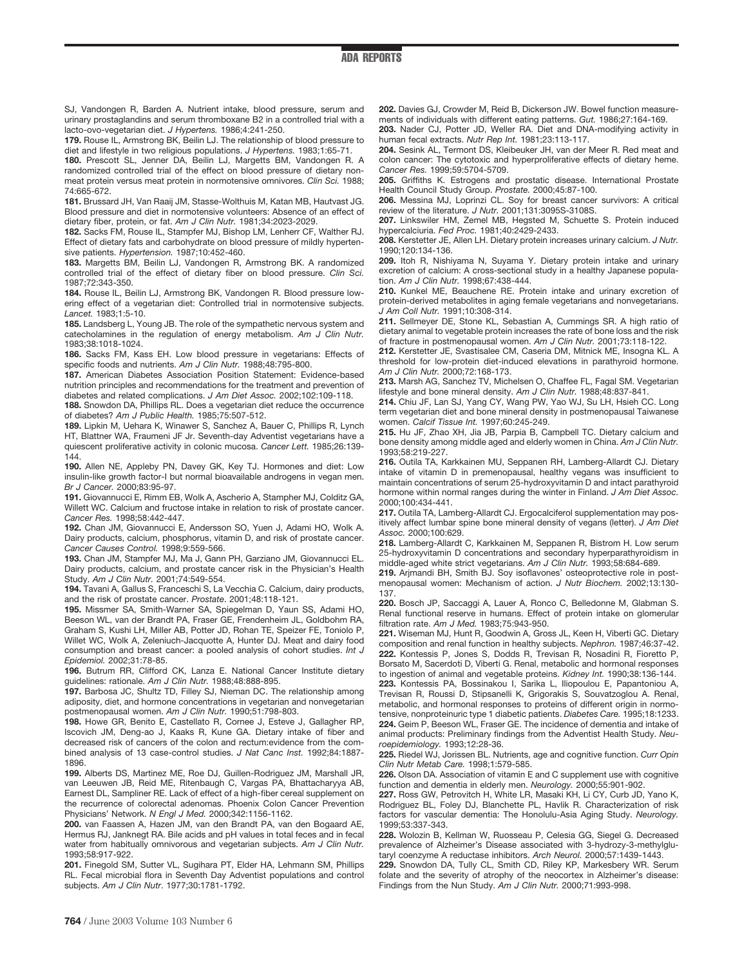SJ, Vandongen R, Barden A. Nutrient intake, blood pressure, serum and urinary prostaglandins and serum thromboxane B2 in a controlled trial with a lacto-ovo-vegetarian diet. *J Hypertens.* 1986;4:241-250.

**179.** Rouse IL, Armstrong BK, Beilin LJ. The relationship of blood pressure to diet and lifestyle in two religious populations. *J Hypertens.* 1983;1:65-71.

**180.** Prescott SL, Jenner DA, Beilin LJ, Margetts BM, Vandongen R. A randomized controlled trial of the effect on blood pressure of dietary nonmeat protein versus meat protein in normotensive omnivores. *Clin Sci.* 1988; 74:665-672.

**181.** Brussard JH, Van Raaij JM, Stasse-Wolthuis M, Katan MB, Hautvast JG. Blood pressure and diet in normotensive volunteers: Absence of an effect of dietary fiber, protein, or fat. *Am J Clin Nutr.* 1981;34:2023-2029.

**182.** Sacks FM, Rouse IL, Stampfer MJ, Bishop LM, Lenherr CF, Walther RJ. Effect of dietary fats and carbohydrate on blood pressure of mildly hypertensive patients. *Hypertension.* 1987;10:452-460.

**183.** Margetts BM, Beilin LJ, Vandongen R, Armstrong BK. A randomized controlled trial of the effect of dietary fiber on blood pressure. *Clin Sci.* 1987;72:343-350.

**184.** Rouse IL, Beilin LJ, Armstrong BK, Vandongen R. Blood pressure lowering effect of a vegetarian diet: Controlled trial in normotensive subjects. *Lancet.* 1983;1:5-10.

**185.** Landsberg L, Young JB. The role of the sympathetic nervous system and catecholamines in the regulation of energy metabolism. *Am J Clin Nutr.* 1983;38:1018-1024.

**186.** Sacks FM, Kass EH. Low blood pressure in vegetarians: Effects of specific foods and nutrients. *Am J Clin Nutr.* 1988;48:795-800.

**187.** American Diabetes Association Position Statement: Evidence-based nutrition principles and recommendations for the treatment and prevention of diabetes and related complications. *J Am Diet Assoc.* 2002;102:109-118.

**188.** Snowdon DA, Phillips RL. Does a vegetarian diet reduce the occurrence of diabetes? *Am J Public Health.* 1985;75:507-512.

**189.** Lipkin M, Uehara K, Winawer S, Sanchez A, Bauer C, Phillips R, Lynch HT, Blattner WA, Fraumeni JF Jr. Seventh-day Adventist vegetarians have a quiescent proliferative activity in colonic mucosa. *Cancer Lett.* 1985;26:139- 144.

**190.** Allen NE, Appleby PN, Davey GK, Key TJ. Hormones and diet: Low insulin-like growth factor-I but normal bioavailable androgens in vegan men. *Br J Cancer.* 2000;83:95-97.

**191.** Giovannucci E, Rimm EB, Wolk A, Ascherio A, Stampher MJ, Colditz GA, Willett WC. Calcium and fructose intake in relation to risk of prostate cancer. *Cancer Res.* 1998;58:442-447.

**192.** Chan JM, Giovannucci E, Andersson SO, Yuen J, Adami HO, Wolk A. Dairy products, calcium, phosphorus, vitamin D, and risk of prostate cancer. *Cancer Causes Control.* 1998;9:559-566.

**193.** Chan JM, Stampfer MJ, Ma J, Gann PH, Garziano JM, Giovannucci EL. Dairy products, calcium, and prostate cancer risk in the Physician's Health Study. *Am J Clin Nutr.* 2001;74:549-554.

**194.** Tavani A, Gallus S, Franceschi S, La Vecchia C. Calcium, dairy products, and the risk of prostate cancer. *Prostate*. 2001;48:118-121.

**195.** Missmer SA, Smith-Warner SA, Spiegelman D, Yaun SS, Adami HO, Beeson WL, van der Brandt PA, Fraser GE, Frendenheim JL, Goldbohm RA, Graham S, Kushi LH, Miller AB, Potter JD, Rohan TE, Speizer FE, Toniolo P, Willet WC, Wolk A, Zeleniuch-Jacquotte A, Hunter DJ. Meat and dairy food consumption and breast cancer: a pooled analysis of cohort studies. *Int J Epidemiol.* 2002;31:78-85.

**196.** Butrum RR, Clifford CK, Lanza E. National Cancer Institute dietary guidelines: rationale. *Am J Clin Nutr.* 1988;48:888-895.

**197.** Barbosa JC, Shultz TD, Filley SJ, Nieman DC. The relationship among adiposity, diet, and hormone concentrations in vegetarian and nonvegetarian postmenopausal women. *Am J Clin Nutr.* 1990;51:798-803.

**198.** Howe GR, Benito E, Castellato R, Cornee J, Esteve J, Gallagher RP, Iscovich JM, Deng-ao J, Kaaks R, Kune GA. Dietary intake of fiber and decreased risk of cancers of the colon and rectum:evidence from the combined analysis of 13 case-control studies. *J Nat Canc Inst.* 1992;84:1887- 1896.

**199.** Alberts DS, Martinez ME, Roe DJ, Guillen-Rodriguez JM, Marshall JR, van Leeuwen JB, Reid ME, Ritenbaugh C, Vargas PA, Bhattacharyya AB, Earnest DL, Sampliner RE. Lack of effect of a high-fiber cereal supplement on the recurrence of colorectal adenomas. Phoenix Colon Cancer Prevention Physicians' Network. *N Engl J Med.* 2000;342:1156-1162.

**200.** van Faassen A, Hazen JM, van den Brandt PA, van den Bogaard AE, Hermus RJ, Janknegt RA. Bile acids and pH values in total feces and in fecal water from habitually omnivorous and vegetarian subjects. *Am J Clin Nutr.* 1993;58:917-922.

**201.** Finegold SM, Sutter VL, Sugihara PT, Elder HA, Lehmann SM, Phillips RL. Fecal microbial flora in Seventh Day Adventist populations and control subjects. *Am J Clin Nutr*. 1977;30:1781-1792.

**202.** Davies GJ, Crowder M, Reid B, Dickerson JW. Bowel function measurements of individuals with different eating patterns. *Gut.* 1986;27:164-169.

**203.** Nader CJ, Potter JD, Weller RA. Diet and DNA-modifying activity in human fecal extracts. *Nutr Rep Int.* 1981;23:113-117.

**204.** Sesink AL, Termont DS, Kleibeuker JH, van der Meer R. Red meat and colon cancer: The cytotoxic and hyperproliferative effects of dietary heme. *Cancer Res.* 1999;59:5704-5709.

**205.** Griffiths K. Estrogens and prostatic disease. International Prostate Health Council Study Group. *Prostate.* 2000;45:87-100.

**206.** Messina MJ, Loprinzi CL. Soy for breast cancer survivors: A critical review of the literature. *J Nutr.* 2001;131:3095S-3108S.

**207.** Linkswiler HM, Zemel MB, Hegsted M, Schuette S. Protein induced hypercalciuria. *Fed Proc.* 1981;40:2429-2433.

**208.** Kerstetter JE, Allen LH. Dietary protein increases urinary calcium. *J Nutr.* 1990;120:134-136.

**209.** Itoh R, Nishiyama N, Suyama Y. Dietary protein intake and urinary excretion of calcium: A cross-sectional study in a healthy Japanese population. *Am J Clin Nutr.* 1998;67:438-444.

**210.** Kunkel ME, Beauchene RE. Protein intake and urinary excretion of protein-derived metabolites in aging female vegetarians and nonvegetarians. *J Am Coll Nutr.* 1991;10:308-314.

**211.** Sellmeyer DE, Stone KL, Sebastian A, Cummings SR. A high ratio of dietary animal to vegetable protein increases the rate of bone loss and the risk of fracture in postmenopausal women. *Am J Clin Nutr.* 2001;73:118-122.

**212.** Kerstetter JE, Svastisalee CM, Caseria DM, Mitnick ME, Insogna KL. A threshold for low-protein diet-induced elevations in parathyroid hormone. *Am J Clin Nutr.* 2000;72:168-173.

**213.** Marsh AG, Sanchez TV, Michelsen O, Chaffee FL, Fagal SM. Vegetarian lifestyle and bone mineral density. *Am J Clin Nutr.* 1988;48:837-841.

**214.** Chiu JF, Lan SJ, Yang CY, Wang PW, Yao WJ, Su LH, Hsieh CC. Long term vegetarian diet and bone mineral density in postmenopausal Taiwanese women. *Calcif Tissue Int.* 1997;60:245-249.

**215.** Hu JF, Zhao XH, Jia JB, Parpia B, Campbell TC. Dietary calcium and bone density among middle aged and elderly women in China. *Am J Clin Nutr.* 1993;58:219-227.

**216.** Outila TA, Karkkainen MU, Seppanen RH, Lamberg-Allardt CJ. Dietary intake of vitamin D in premenopausal, healthy vegans was insufficient to maintain concentrations of serum 25-hydroxyvitamin D and intact parathyroid hormone within normal ranges during the winter in Finland. *J Am Diet Assoc.* 2000;100:434-441.

**217.** Outila TA, Lamberg-Allardt CJ. Ergocalciferol supplementation may positively affect lumbar spine bone mineral density of vegans (letter). *J Am Diet Assoc.* 2000;100:629.

**218.** Lamberg-Allardt C, Karkkainen M, Seppanen R, Bistrom H. Low serum 25-hydroxyvitamin D concentrations and secondary hyperparathyroidism in middle-aged white strict vegetarians. *Am J Clin Nutr.* 1993;58:684-689.

**219.** Arjmandi BH, Smith BJ. Soy isoflavones' osteoprotective role in postmenopausal women: Mechanism of action. *J Nutr Biochem.* 2002;13:130- 137.

**220.** Bosch JP, Saccaggi A, Lauer A, Ronco C, Belledonne M, Glabman S. Renal functional reserve in humans. Effect of protein intake on glomerular filtration rate. *Am J Med.* 1983;75:943-950.

**221.** Wiseman MJ, Hunt R, Goodwin A, Gross JL, Keen H, Viberti GC. Dietary composition and renal function in healthy subjects. *Nephron.* 1987;46:37-42. **222.** Kontessis P, Jones S, Dodds R, Trevisan R, Nosadini R, Fioretto P, Borsato M, Sacerdoti D, Viberti G. Renal, metabolic and hormonal responses to ingestion of animal and vegetable proteins. *Kidney Int.* 1990;38:136-144. **223.** Kontessis PA, Bossinakou I, Sarika L, Iliopoulou E, Papantoniou A, Trevisan R, Roussi D, Stipsanelli K, Grigorakis S, Souvatzoglou A. Renal, metabolic, and hormonal responses to proteins of different origin in normotensive, nonproteinuric type 1 diabetic patients. *Diabetes Care.* 1995;18:1233. **224.** Geim P, Beeson WL, Fraser GE. The incidence of dementia and intake of animal products: Preliminary findings from the Adventist Health Study. *Neu-*

*roepidemiology.* 1993;12:28-36. **225.** Riedel WJ, Jorissen BL. Nutrients, age and cognitive function. *Curr Opin Clin Nutr Metab Care.* 1998;1:579-585.

**226.** Olson DA. Association of vitamin E and C supplement use with cognitive function and dementia in elderly men. *Neurology.* 2000;55:901-902.

**227.** Ross GW, Petrovitch H, White LR, Masaki KH, Li CY, Curb JD, Yano K, Rodriguez BL, Foley DJ, Blanchette PL, Havlik R. Characterization of risk factors for vascular dementia: The Honolulu-Asia Aging Study. *Neurology.* 1999;53:337-343.

**228.** Wolozin B, Kellman W, Ruosseau P, Celesia GG, Siegel G. Decreased prevalence of Alzheimer's Disease associated with 3-hydrozy-3-methylglutaryl coenzyme A reductase inhibitors. *Arch Neurol.* 2000;57:1439-1443.

**229.** Snowdon DA, Tully CL, Smith CD, Riley KP, Markesbery WR. Serum folate and the severity of atrophy of the neocortex in Alzheimer's disease: Findings from the Nun Study. *Am J Clin Nutr.* 2000;71:993-998.